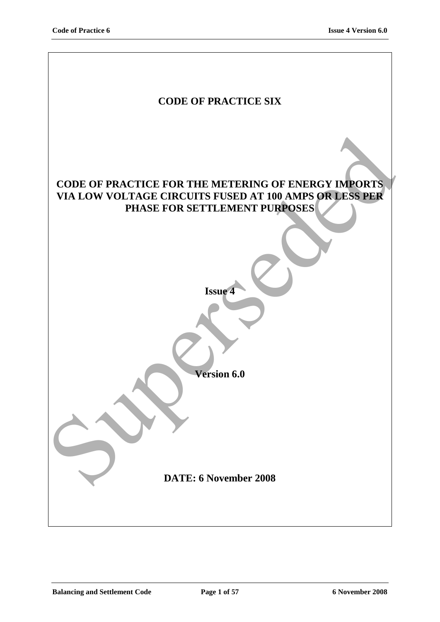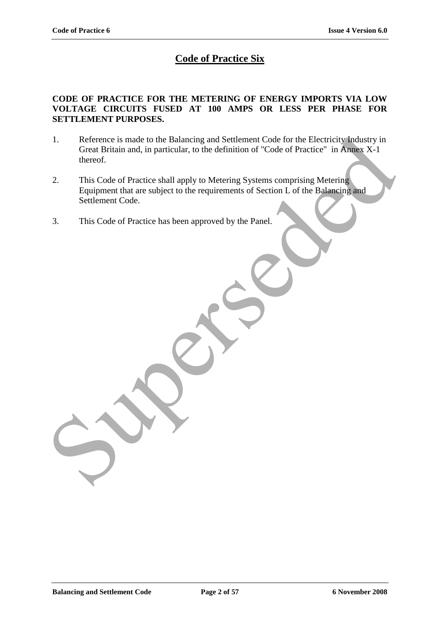# **Code of Practice Six**

### **CODE OF PRACTICE FOR THE METERING OF ENERGY IMPORTS VIA LOW VOLTAGE CIRCUITS FUSED AT 100 AMPS OR LESS PER PHASE FOR SETTLEMENT PURPOSES.**

- 1. Reference is made to the Balancing and Settlement Code for the Electricity Industry in Great Britain and, in particular, to the definition of "Code of Practice" in Annex X-1 thereof. 1. Reference is made to the Balancing and Settlement Code for the Electricity Industry in<br>Great Britain and, in particular, to the definition of "Code of Practice" in Amers X-1<br>thereof.<br>2. This Code of Practice shall apply
- 2. This Code of Practice shall apply to Metering Systems comprising Metering Equipment that are subject to the requirements of Section L of the Balancing and Settlement Code.
- 3. This Code of Practice has been approved by the Panel.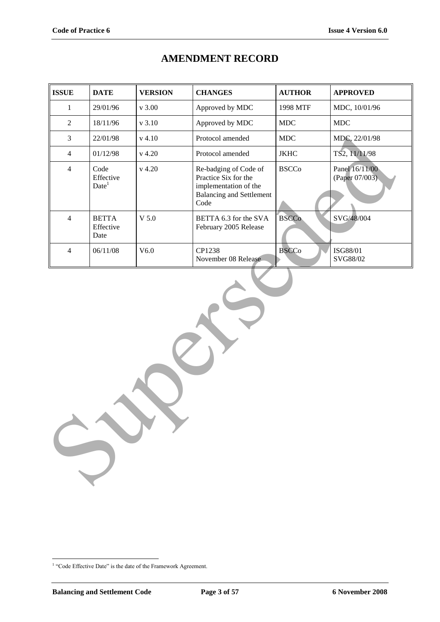| <b>ISSUE</b>   | <b>DATE</b>                            | <b>VERSION</b> | <b>CHANGES</b>                                                                                                    | <b>AUTHOR</b> | <b>APPROVED</b>                  |
|----------------|----------------------------------------|----------------|-------------------------------------------------------------------------------------------------------------------|---------------|----------------------------------|
| $\mathbf{1}$   | 29/01/96                               | $v$ 3.00       | Approved by MDC                                                                                                   | 1998 MTF      | MDC, 10/01/96                    |
| $\sqrt{2}$     | 18/11/96                               | v 3.10         | Approved by MDC                                                                                                   | $\rm MDC$     | MDC                              |
| $\mathfrak{Z}$ | 22/01/98                               | $v$ 4.10       | Protocol amended                                                                                                  | $\rm MDC$     | MDC, 22/01/98                    |
| $\overline{4}$ | 01/12/98                               | $v$ 4.20       | Protocol amended                                                                                                  | <b>JKHC</b>   | TS2, 11/11/98                    |
| $\overline{4}$ | Code<br>Effective<br>Date <sup>1</sup> | $v$ 4.20       | Re-badging of Code of<br>Practice Six for the<br>implementation of the<br><b>Balancing and Settlement</b><br>Code | <b>BSCCo</b>  | Panel 16/11/00<br>(Paper 07/003) |
| $\overline{4}$ | <b>BETTA</b><br>Effective<br>Date      | $V$ 5.0        | BETTA 6.3 for the SVA<br>February 2005 Release                                                                    | <b>BSCCo</b>  | SVG/48/004                       |
| $\overline{4}$ | 06/11/08                               | V6.0           | CP1238<br>November 08 Release                                                                                     | <b>BSCCo</b>  | ISG88/01<br>SVG88/02             |
|                |                                        |                | $\hat{\boldsymbol{\gamma}}$ .                                                                                     |               |                                  |

# **AMENDMENT RECORD**

 1 "Code Effective Date" is the date of the Framework Agreement.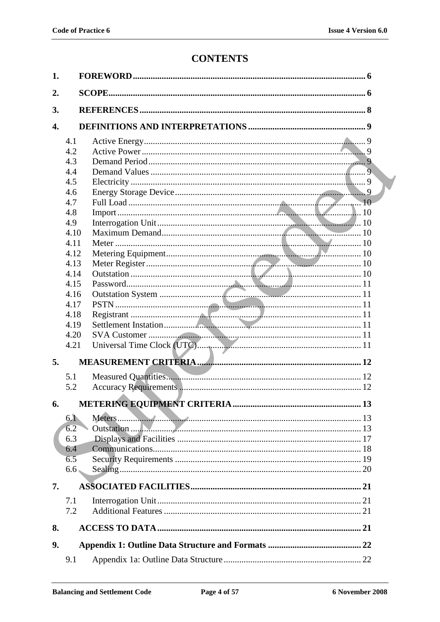# **CONTENTS**

| 1. |                  |  |  |
|----|------------------|--|--|
| 2. |                  |  |  |
| 3. |                  |  |  |
|    |                  |  |  |
| 4. |                  |  |  |
|    | 4.1              |  |  |
|    | 4.2              |  |  |
|    | 4.3              |  |  |
|    | 4.4              |  |  |
|    | 4.5              |  |  |
|    | 4.6              |  |  |
|    | 4.7              |  |  |
|    | 4.8              |  |  |
|    | 4.9              |  |  |
|    | 4.10             |  |  |
|    | 4.11             |  |  |
|    | 4.12             |  |  |
|    | 4.13             |  |  |
|    | 4.14             |  |  |
|    | 4.15             |  |  |
|    | 4.16             |  |  |
|    | 4.17             |  |  |
|    | 4.18             |  |  |
|    | 4.19             |  |  |
|    | 4.20             |  |  |
|    | 4.21             |  |  |
| 5. |                  |  |  |
|    | 5.1              |  |  |
|    | 5.2              |  |  |
|    |                  |  |  |
| 6. |                  |  |  |
|    | 6.1              |  |  |
|    | 6.2              |  |  |
|    | 6.3              |  |  |
|    | 6.4              |  |  |
|    | 6.5              |  |  |
|    | 6.6 <sub>•</sub> |  |  |
| 7. |                  |  |  |
|    | 7.1              |  |  |
|    | 7.2              |  |  |
|    |                  |  |  |
| 8. |                  |  |  |
| 9. |                  |  |  |
|    | 9.1              |  |  |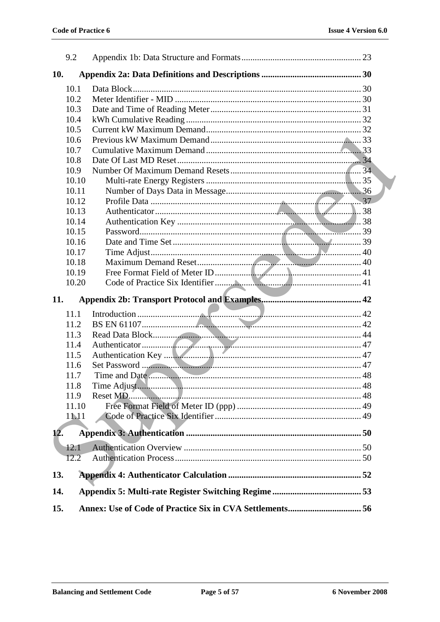|     | 9.2   |                                                          |  |
|-----|-------|----------------------------------------------------------|--|
| 10. |       |                                                          |  |
|     | 10.1  |                                                          |  |
|     | 10.2  |                                                          |  |
|     | 10.3  |                                                          |  |
|     | 10.4  |                                                          |  |
|     | 10.5  |                                                          |  |
|     | 10.6  |                                                          |  |
|     | 10.7  |                                                          |  |
|     | 10.8  |                                                          |  |
|     | 10.9  |                                                          |  |
|     | 10.10 |                                                          |  |
|     | 10.11 |                                                          |  |
|     | 10.12 |                                                          |  |
|     | 10.13 |                                                          |  |
|     | 10.14 |                                                          |  |
|     | 10.15 |                                                          |  |
|     | 10.16 |                                                          |  |
|     | 10.17 |                                                          |  |
|     | 10.18 |                                                          |  |
|     | 10.19 |                                                          |  |
|     | 10.20 |                                                          |  |
| 11. |       |                                                          |  |
|     | 11.1  |                                                          |  |
|     | 11.2  |                                                          |  |
|     | 11.3  |                                                          |  |
|     | 11.4  |                                                          |  |
|     | 11.5  |                                                          |  |
|     | 11.6  |                                                          |  |
|     | 11.7  |                                                          |  |
|     | 11.8  |                                                          |  |
|     | 11.9  |                                                          |  |
|     | 11.10 |                                                          |  |
|     | 11.11 |                                                          |  |
| 12. |       |                                                          |  |
|     |       |                                                          |  |
|     | 12.1  |                                                          |  |
|     | 12.2  |                                                          |  |
| 13. |       |                                                          |  |
| 14. |       |                                                          |  |
| 15. |       | Annex: Use of Code of Practice Six in CVA Settlements 56 |  |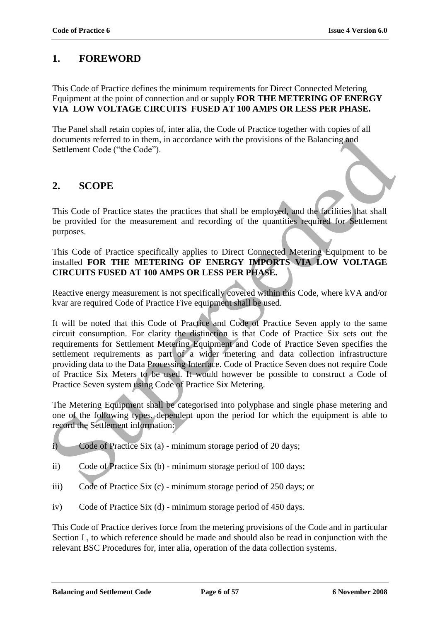### **1. FOREWORD**

This Code of Practice defines the minimum requirements for Direct Connected Metering Equipment at the point of connection and or supply **FOR THE METERING OF ENERGY VIA LOW VOLTAGE CIRCUITS FUSED AT 100 AMPS OR LESS PER PHASE.**

The Panel shall retain copies of, inter alia, the Code of Practice together with copies of all documents referred to in them, in accordance with the provisions of the Balancing and Settlement Code ("the Code").

### **2. SCOPE**

This Code of Practice states the practices that shall be employed, and the facilities that shall be provided for the measurement and recording of the quantities required for Settlement purposes.

This Code of Practice specifically applies to Direct Connected Metering Equipment to be installed **FOR THE METERING OF ENERGY IMPORTS VIA LOW VOLTAGE CIRCUITS FUSED AT 100 AMPS OR LESS PER PHASE.**

Reactive energy measurement is not specifically covered within this Code, where kVA and/or kvar are required Code of Practice Five equipment shall be used.

It will be noted that this Code of Practice and Code of Practice Seven apply to the same circuit consumption. For clarity the distinction is that Code of Practice Six sets out the requirements for Settlement Metering Equipment and Code of Practice Seven specifies the settlement requirements as part of a wider metering and data collection infrastructure providing data to the Data Processing Interface. Code of Practice Seven does not require Code of Practice Six Meters to be used. It would however be possible to construct a Code of Practice Seven system using Code of Practice Six Metering. documents referred to in them, in accordance with the provisions of the Balancing and<br>Settlement Code ("the Code").<br>
2. SCOPE<br>
Superseded for the measurement and recording of the quantities required for Settlement<br>
be pro

The Metering Equipment shall be categorised into polyphase and single phase metering and one of the following types, dependent upon the period for which the equipment is able to record the Settlement information:

- i) Code of Practice Six (a) minimum storage period of 20 days;
- ii) Code of Practice Six (b) minimum storage period of 100 days;
- iii) Code of Practice Six (c) minimum storage period of 250 days; or
- iv) Code of Practice Six (d) minimum storage period of 450 days.

This Code of Practice derives force from the metering provisions of the Code and in particular Section L, to which reference should be made and should also be read in conjunction with the relevant BSC Procedures for, inter alia, operation of the data collection systems.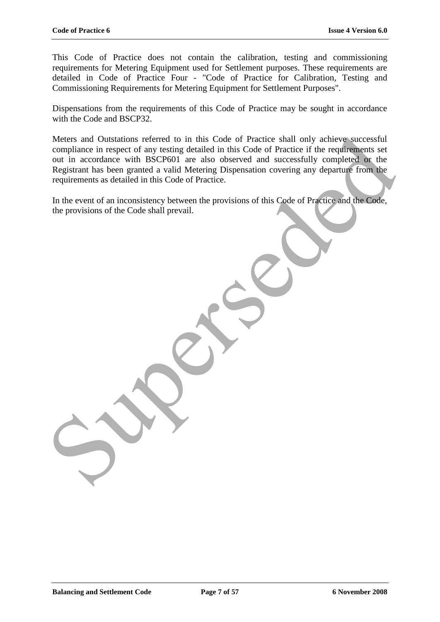This Code of Practice does not contain the calibration, testing and commissioning requirements for Metering Equipment used for Settlement purposes. These requirements are detailed in Code of Practice Four - "Code of Practice for Calibration, Testing and Commissioning Requirements for Metering Equipment for Settlement Purposes".

Dispensations from the requirements of this Code of Practice may be sought in accordance with the Code and BSCP32.

Meters and Outstations referred to in this Code of Practice shall only achieve successful compliance in respect of any testing detailed in this Code of Practice if the requirements set out in accordance with BSCP601 are also observed and successfully completed or the Registrant has been granted a valid Metering Dispensation covering any departure from the requirements as detailed in this Code of Practice. Meters and Outstations referred to in this Code of Practice shall only achieve successful<br>compliment in respect of any testing detailed in this Code of Practice.<br>Out in accordance with BSCP601 are also observed and success

In the event of an inconsistency between the provisions of this Code of Practice and the Code, the provisions of the Code shall prevail.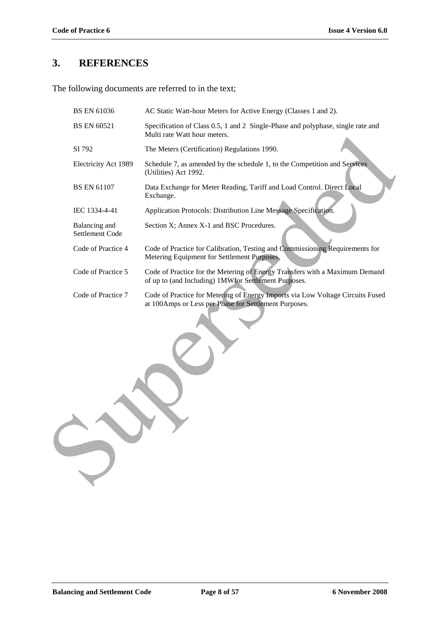# **3. REFERENCES**

The following documents are referred to in the text;

| <b>BS EN 61036</b>               | AC Static Watt-hour Meters for Active Energy (Classes 1 and 2).                                                                         |  |  |  |  |
|----------------------------------|-----------------------------------------------------------------------------------------------------------------------------------------|--|--|--|--|
| <b>BS EN 60521</b>               | Specification of Class 0.5, 1 and 2 Single-Phase and polyphase, single rate and<br>Multi rate Watt hour meters.                         |  |  |  |  |
| SI 792                           | The Meters (Certification) Regulations 1990.                                                                                            |  |  |  |  |
| Electricity Act 1989             | Schedule 7, as amended by the schedule 1, to the Competition and Services<br>(Utilities) Act 1992.                                      |  |  |  |  |
| <b>BS EN 61107</b>               | Data Exchange for Meter Reading, Tariff and Load Control. Direct Local<br>Exchange.                                                     |  |  |  |  |
| IEC 1334-4-41                    | Application Protocols: Distribution Line Message Specification.                                                                         |  |  |  |  |
| Balancing and<br>Settlement Code | Section X; Annex X-1 and BSC Procedures.                                                                                                |  |  |  |  |
| Code of Practice 4               | Code of Practice for Calibration, Testing and Commissioning Requirements for<br>Metering Equipment for Settlement Purposes.             |  |  |  |  |
| Code of Practice 5               | Code of Practice for the Metering of Energy Transfers with a Maximum Demand<br>of up to (and Including) 1MWfor Settlement Purposes.     |  |  |  |  |
| Code of Practice 7               | Code of Practice for Metering of Energy Imports via Low Voltage Circuits Fused<br>at 100Amps or Less per Phase for Settlement Purposes. |  |  |  |  |
|                                  |                                                                                                                                         |  |  |  |  |
|                                  |                                                                                                                                         |  |  |  |  |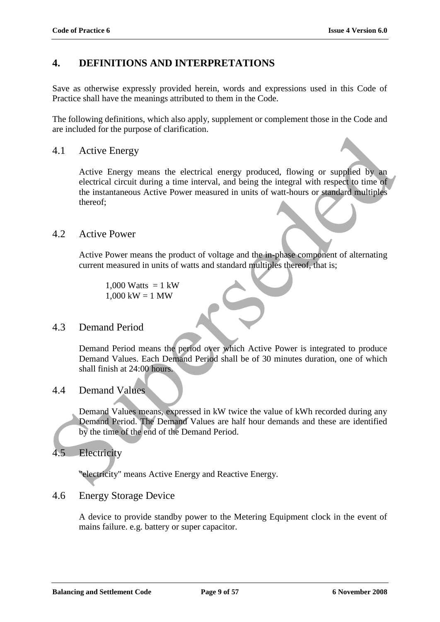## **4. DEFINITIONS AND INTERPRETATIONS**

Save as otherwise expressly provided herein, words and expressions used in this Code of Practice shall have the meanings attributed to them in the Code.

The following definitions, which also apply, supplement or complement those in the Code and are included for the purpose of clarification.

### 4.1 Active Energy

Active Energy means the electrical energy produced, flowing or supplied by an electrical circuit during a time interval, and being the integral with respect to time of the instantaneous Active Power measured in units of watt-hours or standard multiples thereof; 4.1 Active Energy<br>
Active Energy means the electrical energy produced, flowing or supplied by an<br>
electrical circuit during a time interval, and heing the integral with respect to time of<br>
the instantaneous Active Power m

### 4.2 Active Power

Active Power means the product of voltage and the in-phase component of alternating current measured in units of watts and standard multiples thereof, that is;

1,000 Watts =  $1 \text{ kW}$  $1,000 \text{ kW} = 1 \text{ MW}$ 

### 4.3 Demand Period

Demand Period means the period over which Active Power is integrated to produce Demand Values. Each Demand Period shall be of 30 minutes duration, one of which shall finish at 24:00 hours.

#### 4.4 Demand Values

Demand Values means, expressed in kW twice the value of kWh recorded during any Demand Period. The Demand Values are half hour demands and these are identified by the time of the end of the Demand Period.

### 4.5 Electricity

"electricity" means Active Energy and Reactive Energy.

#### 4.6 Energy Storage Device

A device to provide standby power to the Metering Equipment clock in the event of mains failure. e.g. battery or super capacitor.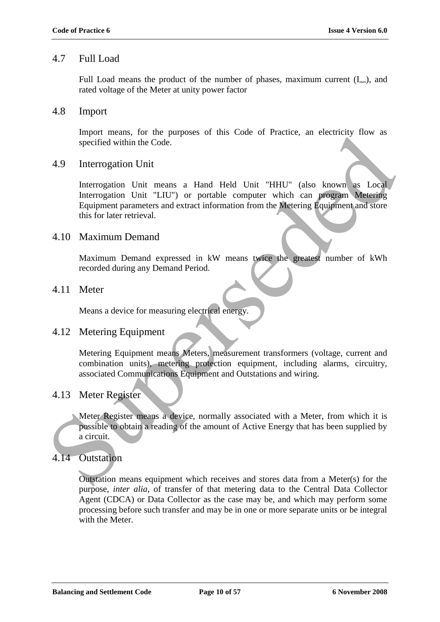### 4.7 Full Load

Full Load means the product of the number of phases, maximum current  $(I<sub>max</sub>)$ , and rated voltage of the Meter at unity power factor

### 4.8 Import

Import means, for the purposes of this Code of Practice, an electricity flow as specified within the Code.

### 4.9 Interrogation Unit

Interrogation Unit means a Hand Held Unit "HHU" (also known as Local Interrogation Unit "LIU") or portable computer which can program Metering Equipment parameters and extract information from the Metering Equipment and store this for later retrieval. myont means, for the papaes of this code of Friedrich movement specified within the Code.<br>
4.9 Interrogation Unit<br>
Interrogation Unit<br>
Interrogation Unit<br>
Interrogation Unit<br>
Interrogation Unit<br>
Interrogation Unit<br>
Interro

### 4.10 Maximum Demand

Maximum Demand expressed in kW means twice the greatest number of kWh recorded during any Demand Period.

### 4.11 Meter

Means a device for measuring electrical energy.

#### 4.12 Metering Equipment

Metering Equipment means Meters, measurement transformers (voltage, current and combination units), metering protection equipment, including alarms, circuitry, associated Communications Equipment and Outstations and wiring.

### 4.13 Meter Register

Meter Register means a device, normally associated with a Meter, from which it is possible to obtain a reading of the amount of Active Energy that has been supplied by a circuit.

### 4.14 Outstation

Outstation means equipment which receives and stores data from a Meter(s) for the purpose, *inter alia,* of transfer of that metering data to the Central Data Collector Agent (CDCA) or Data Collector as the case may be, and which may perform some processing before such transfer and may be in one or more separate units or be integral with the Meter.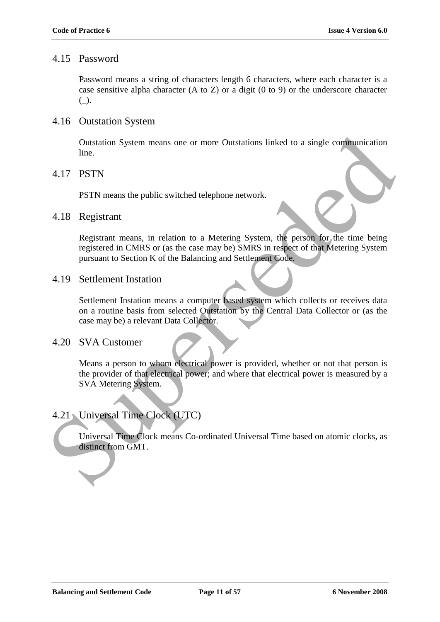### 4.15 Password

Password means a string of characters length 6 characters, where each character is a case sensitive alpha character (A to Z) or a digit (0 to 9) or the underscore character  $($ ).

### 4.16 Outstation System

Outstation System means one or more Outstations linked to a single communication line.

### 4.17 PSTN

PSTN means the public switched telephone network.

#### 4.18 Registrant

Registrant means, in relation to a Metering System, the person for the time being registered in CMRS or (as the case may be) SMRS in respect of that Metering System pursuant to Section K of the Balancing and Settlement Code.

### 4.19 Settlement Instation

Settlement Instation means a computer based system which collects or receives data on a routine basis from selected Outstation by the Central Data Collector or (as the case may be) a relevant Data Collector. Sustain System means one or more Outstations linked to a single communication<br>
Suses three.<br>
1.17 PSTN<br>
PSTN means the public switched telephone network.<br>
1.18 Registreant<br>
Registreant<br>
Registreant<br>
Registreant<br>
Registrean

### 4.20 SVA Customer

Means a person to whom electrical power is provided, whether or not that person is the provider of that electrical power; and where that electrical power is measured by a SVA Metering System.

### 4.21 Universal Time Clock (UTC)

Universal Time Clock means Co-ordinated Universal Time based on atomic clocks, as distinct from GMT.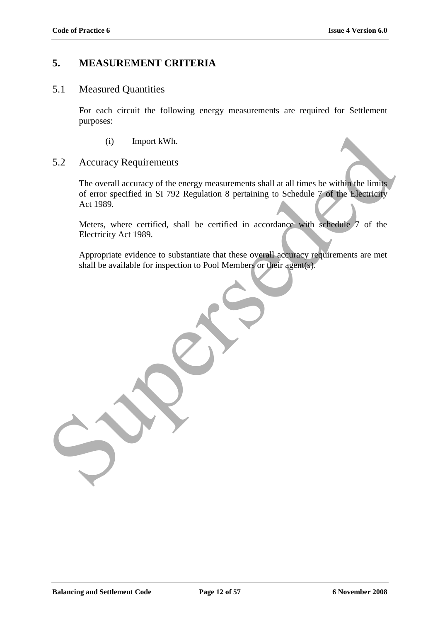### **5. MEASUREMENT CRITERIA**

### 5.1 Measured Quantities

For each circuit the following energy measurements are required for Settlement purposes:

(i) Import kWh.

### 5.2 Accuracy Requirements

The overall accuracy of the energy measurements shall at all times be within the limits of error specified in SI 792 Regulation 8 pertaining to Schedule 7 of the Electricity Act 1989. (i) Import kWh.<br>
S.2 Accuracy Requirements<br>
The overall accuracy of the energy measurements shall at all times be within the limits<br>
of error specified in SI 792 Regulation 8 pertaining to Schedule 7 of the Reetricity<br>
Act

Meters, where certified, shall be certified in accordance with schedule 7 of the Electricity Act 1989.

Appropriate evidence to substantiate that these overall accuracy requirements are met shall be available for inspection to Pool Members or their agent(s).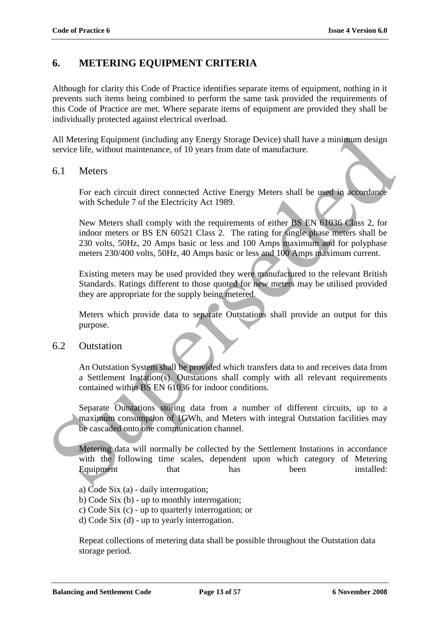### **6. METERING EQUIPMENT CRITERIA**

Although for clarity this Code of Practice identifies separate items of equipment, nothing in it prevents such items being combined to perform the same task provided the requirements of this Code of Practice are met. Where separate items of equipment are provided they shall be individually protected against electrical overload.

All Metering Equipment (including any Energy Storage Device) shall have a minimum design service life, without maintenance, of 10 years from date of manufacture.

#### 6.1 Meters

For each circuit direct connected Active Energy Meters shall be used in accordance with Schedule 7 of the Electricity Act 1989.

New Meters shall comply with the requirements of either BS EN 61036 Class 2, for indoor meters or BS EN 60521 Class 2. The rating for single phase meters shall be 230 volts, 50Hz, 20 Amps basic or less and 100 Amps maximum and for polyphase meters 230/400 volts, 50Hz, 40 Amps basic or less and 100 Amps maximum current. All Metering Equipment (including any Energy Storage Device) shall have a minimum design<br>service life, without maintenance, of 10 years from due of manufacture.<br>
6.1 Meters<br>
For each circuit direct connected Active Energy

Existing meters may be used provided they were manufactured to the relevant British Standards. Ratings different to those quoted for new meters may be utilised provided they are appropriate for the supply being metered.

Meters which provide data to separate Outstations shall provide an output for this purpose.

### 6.2 Outstation

An Outstation System shall be provided which transfers data to and receives data from a Settlement Instation(s). Outstations shall comply with all relevant requirements contained within BS EN 61036 for indoor conditions.

Separate Outstations storing data from a number of different circuits, up to a maximum consumption of 1GWh, and Meters with integral Outstation facilities may be cascaded onto one communication channel.

Metering data will normally be collected by the Settlement Instations in accordance with the following time scales, dependent upon which category of Metering Equipment that has been installed:

- a) Code Six (a) daily interrogation;
- b) Code Six (b) up to monthly interrogation;
- c) Code Six (c) up to quarterly interrogation; or
- d) Code Six (d) up to yearly interrogation.

Repeat collections of metering data shall be possible throughout the Outstation data storage period.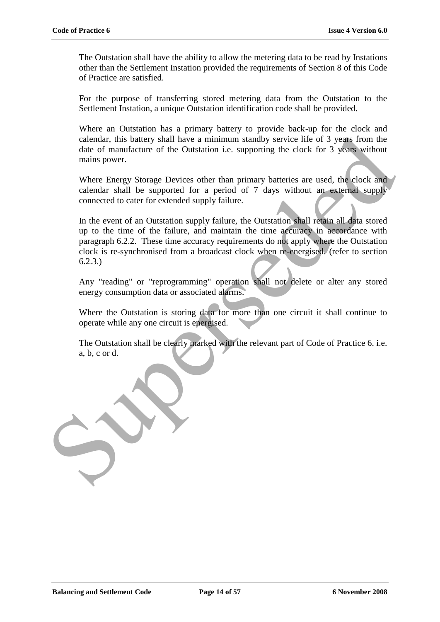The Outstation shall have the ability to allow the metering data to be read by Instations other than the Settlement Instation provided the requirements of Section 8 of this Code of Practice are satisfied.

For the purpose of transferring stored metering data from the Outstation to the Settlement Instation, a unique Outstation identification code shall be provided.

Where an Outstation has a primary battery to provide back-up for the clock and calendar, this battery shall have a minimum standby service life of 3 years from the date of manufacture of the Outstation i.e. supporting the clock for 3 years without mains power.

Where Energy Storage Devices other than primary batteries are used, the clock and calendar shall be supported for a period of 7 days without an external supply connected to cater for extended supply failure.

In the event of an Outstation supply failure, the Outstation shall retain all data stored up to the time of the failure, and maintain the time accuracy in accordance with paragraph 6.2.2. These time accuracy requirements do not apply where the Outstation clock is re-synchronised from a broadcast clock when re-energised. (refer to section 6.2.3.) calendar, this battery shall have a minimum standhy service life of 3 years from the dute of manufacture of the Outstution i.e. supporting the clock for 3 years without mains power.<br>Where Energy Storage Devices other than

Any "reading" or "reprogramming" operation shall not delete or alter any stored energy consumption data or associated alarms.

Where the Outstation is storing data for more than one circuit it shall continue to operate while any one circuit is energised.

The Outstation shall be clearly marked with the relevant part of Code of Practice 6. i.e. a, b, c or d.

**Balancing and Settlement Code Page 14 of 57 6 November 2008**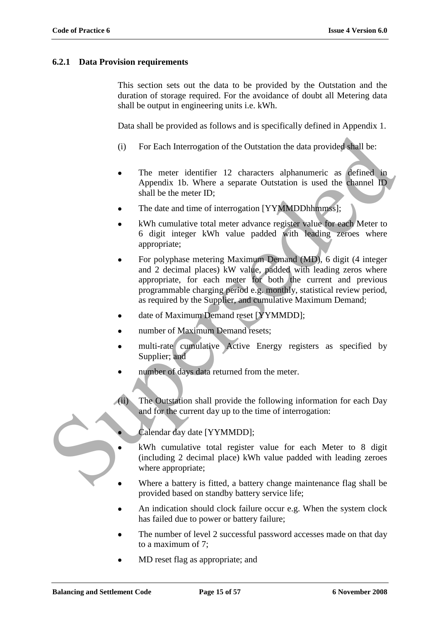#### **6.2.1 Data Provision requirements**

This section sets out the data to be provided by the Outstation and the duration of storage required. For the avoidance of doubt all Metering data shall be output in engineering units i.e. kWh.

Data shall be provided as follows and is specifically defined in Appendix 1.

- (i) For Each Interrogation of the Outstation the data provided shall be:
- The meter identifier 12 characters alphanumeric as defined in Appendix 1b. Where a separate Outstation is used the channel ID shall be the meter ID;
- The date and time of interrogation [YYMMDDhhmmss];
- kWh cumulative total meter advance register value for each Meter to 6 digit integer kWh value padded with leading zeroes where appropriate;
- For polyphase metering Maximum Demand (MD), 6 digit (4 integer and 2 decimal places) kW value, padded with leading zeros where appropriate, for each meter for both the current and previous programmable charging period e.g. monthly, statistical review period, as required by the Supplier, and cumulative Maximum Demand; (i) For Each Interngation of the Oustation the data provided shall be:<br>
The meter identifier 12 characters alphanumeric as defined in<br>
Appendix 1b. Where a separate Oustation is used the channel ID<br>
shall be the meter ID;
	- date of Maximum Demand reset [YYMMDD];
	- number of Maximum Demand resets;
	- multi-rate cumulative Active Energy registers as specified by Supplier; and
	- number of days data returned from the meter.
	- (ii) The Outstation shall provide the following information for each Day and for the current day up to the time of interrogation:

Calendar day date [YYMMDD];

- kWh cumulative total register value for each Meter to 8 digit (including 2 decimal place) kWh value padded with leading zeroes where appropriate;
- Where a battery is fitted, a battery change maintenance flag shall be provided based on standby battery service life;
- An indication should clock failure occur e.g. When the system clock has failed due to power or battery failure;
- The number of level 2 successful password accesses made on that day to a maximum of 7;
- MD reset flag as appropriate; and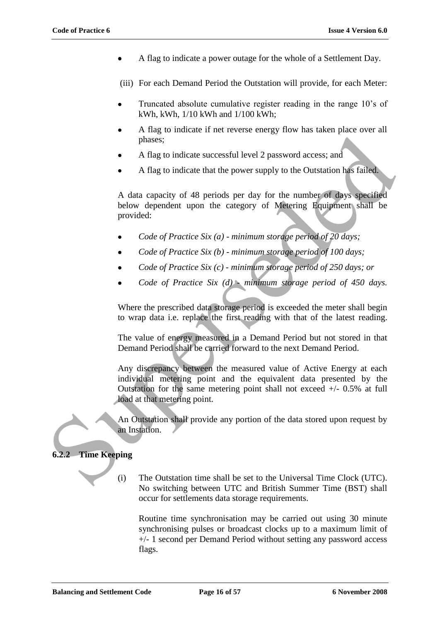A flag to indicate a power outage for the whole of a Settlement Day.

(iii) For each Demand Period the Outstation will provide, for each Meter:

- Truncated absolute cumulative register reading in the range 10"s of kWh, kWh, 1/10 kWh and 1/100 kWh;
- A flag to indicate if net reverse energy flow has taken place over all phases;
- A flag to indicate successful level 2 password access; and
- A flag to indicate that the power supply to the Outstation has failed.

A data capacity of 48 periods per day for the number of days specified below dependent upon the category of Metering Equipment shall be provided:

- *Code of Practice Six (a) - minimum storage period of 20 days;*
- *Code of Practice Six (b) - minimum storage period of 100 days;*
- *Code of Practice Six (c) - minimum storage period of 250 days; or*
- *Code of Practice Six (d) - minimum storage period of 450 days.*

Where the prescribed data storage period is exceeded the meter shall begin to wrap data i.e. replace the first reading with that of the latest reading.

The value of energy measured in a Demand Period but not stored in that Demand Period shall be carried forward to the next Demand Period.

Any discrepancy between the measured value of Active Energy at each individual metering point and the equivalent data presented by the Outstation for the same metering point shall not exceed  $+/- 0.5\%$  at full load at that metering point. phases;<br>
• A flag to indicate successful level 2 password access; and<br>
• A flag to indicate that the power supply to the Cultstation has failed.<br>
A data capacity of 48 periods per day for the number of days specified<br>
bel

An Outstation shall provide any portion of the data stored upon request by an Instation.

#### **6.2.2 Time Keeping**

- - (i) The Outstation time shall be set to the Universal Time Clock (UTC). No switching between UTC and British Summer Time (BST) shall occur for settlements data storage requirements.

Routine time synchronisation may be carried out using 30 minute synchronising pulses or broadcast clocks up to a maximum limit of +/- 1 second per Demand Period without setting any password access flags.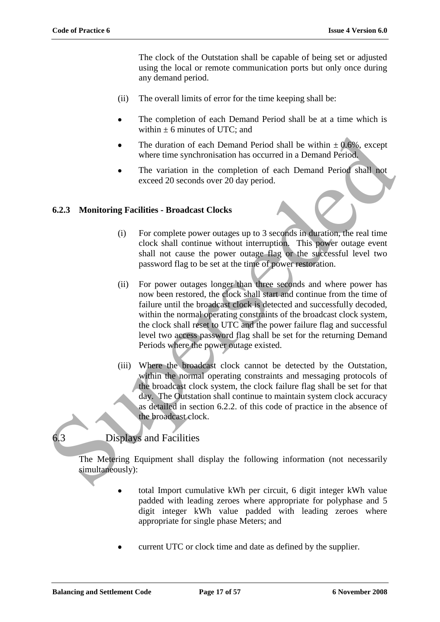The clock of the Outstation shall be capable of being set or adjusted using the local or remote communication ports but only once during any demand period.

- (ii) The overall limits of error for the time keeping shall be:
- The completion of each Demand Period shall be at a time which is within  $\pm$  6 minutes of UTC; and
- The duration of each Demand Period shall be within  $\pm 0.6\%$ , except where time synchronisation has occurred in a Demand Period.
- The variation in the completion of each Demand Period shall not exceed 20 seconds over 20 day period.

### **6.2.3 Monitoring Facilities - Broadcast Clocks**

- (i) For complete power outages up to 3 seconds in duration, the real time clock shall continue without interruption. This power outage event shall not cause the power outage flag or the successful level two password flag to be set at the time of power restoration.
- (ii) For power outages longer than three seconds and where power has now been restored, the clock shall start and continue from the time of failure until the broadcast clock is detected and successfully decoded, within the normal operating constraints of the broadcast clock system, the clock shall reset to UTC and the power failure flag and successful level two access password flag shall be set for the returning Demand Periods where the power outage existed. The duration of each Demand Period shall be within  $\pm 0.6$ %, except<br>where time synchronisation has occurred in a Demand Period.<br>The variation in the completion of each 2 shall hot<br>exceed 20 seconds over 20 day period.<br>
6
	- (iii) Where the broadcast clock cannot be detected by the Outstation, within the normal operating constraints and messaging protocols of the broadcast clock system, the clock failure flag shall be set for that day. The Outstation shall continue to maintain system clock accuracy as detailed in section 6.2.2. of this code of practice in the absence of the broadcast clock.

## 6.3 Displays and Facilities

The Metering Equipment shall display the following information (not necessarily simultaneously):

- total Import cumulative kWh per circuit, 6 digit integer kWh value padded with leading zeroes where appropriate for polyphase and 5 digit integer kWh value padded with leading zeroes where appropriate for single phase Meters; and
- current UTC or clock time and date as defined by the supplier.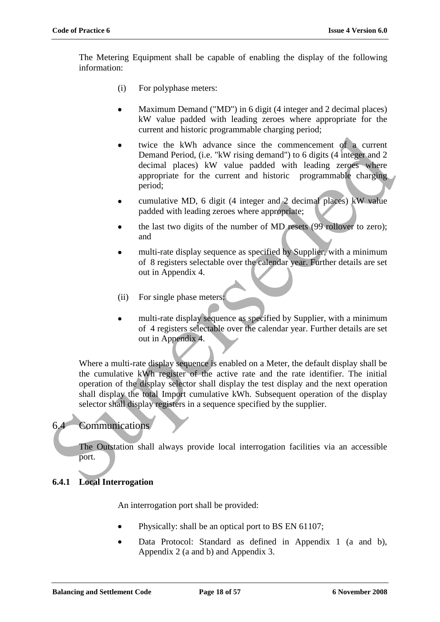The Metering Equipment shall be capable of enabling the display of the following information:

- (i) For polyphase meters:
- Maximum Demand ("MD") in 6 digit (4 integer and 2 decimal places) kW value padded with leading zeroes where appropriate for the current and historic programmable charging period;
- twice the kWh advance since the commencement of a current Demand Period, (i.e. "kW rising demand") to 6 digits (4 integer and 2 decimal places) kW value padded with leading zeroes where appropriate for the current and historic programmable charging period;
- cumulative MD, 6 digit (4 integer and 2 decimal places) kW value padded with leading zeroes where appropriate;
- the last two digits of the number of MD resets (99 rollover to zero); and
- multi-rate display sequence as specified by Supplier, with a minimum of 8 registers selectable over the calendar year. Further details are set out in Appendix 4.
- (ii) For single phase meters:
- multi-rate display sequence as specified by Supplier, with a minimum of 4 registers selectable over the calendar year. Further details are set out in Appendix 4.

Where a multi-rate display sequence is enabled on a Meter, the default display shall be the cumulative kWh register of the active rate and the rate identifier. The initial operation of the display selector shall display the test display and the next operation shall display the total Import cumulative kWh. Subsequent operation of the display selector shall display registers in a sequence specified by the supplier. • wice the kWh advance since the commencement of a current<br>
Demand Period, (i.e. "KW rsing demand") to 6 digits (4 integer and 2<br>
decimal places) kW value padded with leading zeroes where<br>
uppropriate for the current and

### 6.4 Communications

The Outstation shall always provide local interrogation facilities via an accessible port.

#### **6.4.1 Local Interrogation**

An interrogation port shall be provided:

- Physically: shall be an optical port to BS EN 61107;
- Data Protocol: Standard as defined in Appendix 1 (a and b), Appendix 2 (a and b) and Appendix 3.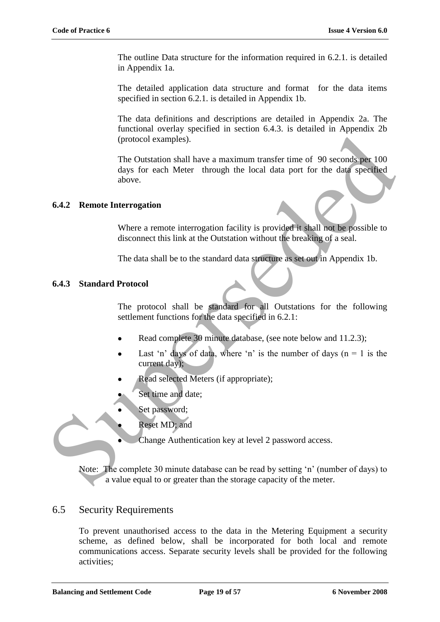The outline Data structure for the information required in 6.2.1. is detailed in Appendix 1a.

The detailed application data structure and format for the data items specified in section 6.2.1. is detailed in Appendix 1b.

The data definitions and descriptions are detailed in Appendix 2a. The functional overlay specified in section 6.4.3. is detailed in Appendix 2b (protocol examples).

The Outstation shall have a maximum transfer time of 90 seconds per 100 days for each Meter through the local data port for the data specified above. (protocol examples).<br>
The Outstation shall have a maximum transfer time of 90 seconds per 100<br>
days for each Meter through the local data port for the data specified<br>
above.<br> **6.4.2 Remote Interrogation**<br>
Where a remote i

### **6.4.2 Remote Interrogation**

Where a remote interrogation facility is provided it shall not be possible to disconnect this link at the Outstation without the breaking of a seal.

The data shall be to the standard data structure as set out in Appendix 1b.

### **6.4.3 Standard Protocol**

The protocol shall be standard for all Outstations for the following settlement functions for the data specified in 6.2.1:

- Read complete 30 minute database, (see note below and 11.2.3);
- Last 'n' days of data, where 'n' is the number of days ( $n = 1$  is the current day);
- Read selected Meters (if appropriate);
- Set time and date;
- Set password;
- Reset MD; and
- Change Authentication key at level 2 password access.

Note: The complete 30 minute database can be read by setting "n" (number of days) to a value equal to or greater than the storage capacity of the meter.

### 6.5 Security Requirements

To prevent unauthorised access to the data in the Metering Equipment a security scheme, as defined below, shall be incorporated for both local and remote communications access. Separate security levels shall be provided for the following activities;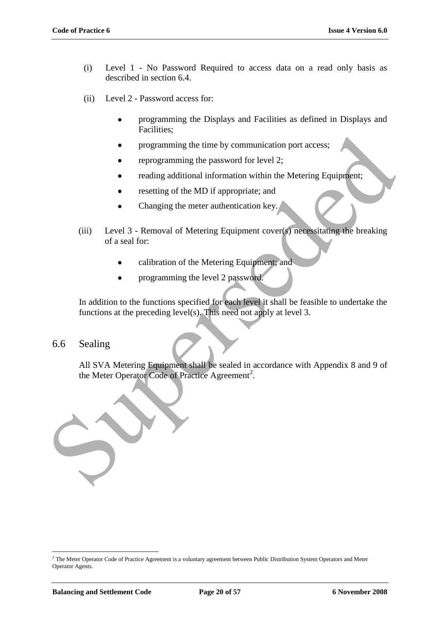- (i) Level 1 No Password Required to access data on a read only basis as described in section 6.4.
- (ii) Level 2 Password access for:
	- programming the Displays and Facilities as defined in Displays and  $\bullet$ Facilities;
	- programming the time by communication port access;
	- reprogramming the password for level 2;
	- reading additional information within the Metering Equipment;
	- resetting of the MD if appropriate; and
	- Changing the meter authentication key.
- (iii) Level 3 Removal of Metering Equipment cover(s) necessitating the breaking of a seal for:
	- calibration of the Metering Equipment; and
	- programming the level 2 password.

In addition to the functions specified for each level it shall be feasible to undertake the functions at the preceding level(s). This need not apply at level 3.

### 6.6 Sealing

All SVA Metering Equipment shall be sealed in accordance with Appendix 8 and 9 of the Meter Operator Code of Practice Agreement<sup>2</sup>.



 $\overline{a}$ 

<sup>&</sup>lt;sup>2</sup> The Meter Operator Code of Practice Agreement is a voluntary agreement between Public Distribution System Operators and Meter Operator Agents.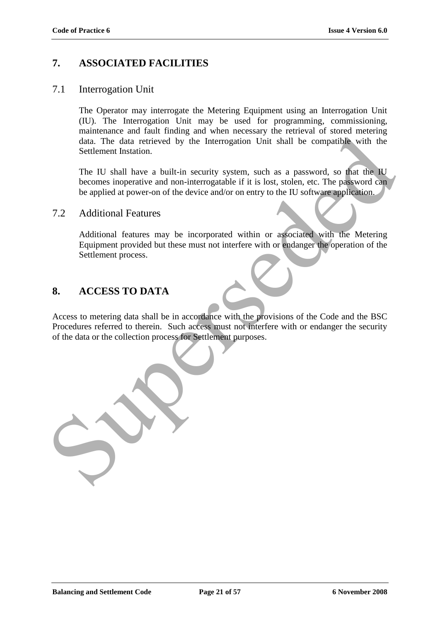### **7. ASSOCIATED FACILITIES**

### 7.1 Interrogation Unit

The Operator may interrogate the Metering Equipment using an Interrogation Unit (IU). The Interrogation Unit may be used for programming*,* commissioning, maintenance and fault finding and when necessary the retrieval of stored metering data. The data retrieved by the Interrogation Unit shall be compatible with the Settlement Instation.

The IU shall have a built-in security system, such as a password, so that the IU becomes inoperative and non-interrogatable if it is lost, stolen, etc. The password can be applied at power-on of the device and/or on entry to the IU software application.

### 7.2 Additional Features

Additional features may be incorporated within or associated with the Metering Equipment provided but these must not interfere with or endanger the operation of the Settlement process.

### **8. ACCESS TO DATA**

Access to metering data shall be in accordance with the provisions of the Code and the BSC Procedures referred to therein. Such access must not interfere with or endanger the security of the data or the collection process for Settlement purposes. Analysis and Analysis was more incorporation Unit shall be compatible with the Settlement Instation.<br>The data refrieved by the Interogration Unit shall be compatible with the Settlement Instation.<br>The U visibilities a buil

**Balancing and Settlement Code Page 21 of 57 6 November 2008**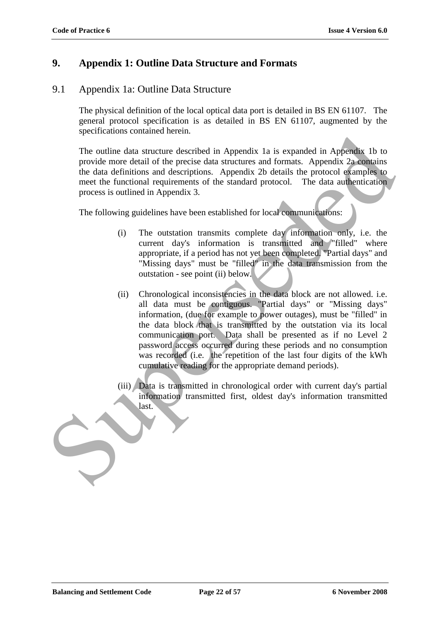### **9. Appendix 1: Outline Data Structure and Formats**

### 9.1 Appendix 1a: Outline Data Structure

The physical definition of the local optical data port is detailed in BS EN 61107. The general protocol specification is as detailed in BS EN 61107, augmented by the specifications contained herein.

The outline data structure described in Appendix 1a is expanded in Appendix 1b to provide more detail of the precise data structures and formats. Appendix 2a contains the data definitions and descriptions. Appendix 2b details the protocol examples to meet the functional requirements of the standard protocol. The data authentication process is outlined in Appendix 3.

The following guidelines have been established for local communications:

- (i) The outstation transmits complete day information only, i.e. the current day's information is transmitted and "filled" where appropriate, if a period has not yet been completed. "Partial days" and "Missing days" must be "filled" in the data transmission from the outstation - see point (ii) below.
- (ii) Chronological inconsistencies in the data block are not allowed. i.e. all data must be contiguous. "Partial days" or "Missing days" information, (due for example to power outages), must be "filled" in the data block that is transmitted by the outstation via its local communication port. Data shall be presented as if no Level 2 password access occurred during these periods and no consumption was recorded (i.e. the repetition of the last four digits of the kWh cumulative reading for the appropriate demand periods). The untime distance identical in Appendix 1 a is expanded in Appendix 1b to<br>
The untime distance these casa structures and formats. Appendix 2a comtains<br>
the data definitions and decreptions. Appendix 2b details the protoc
	- (iii) Data is transmitted in chronological order with current day's partial information transmitted first, oldest day's information transmitted last.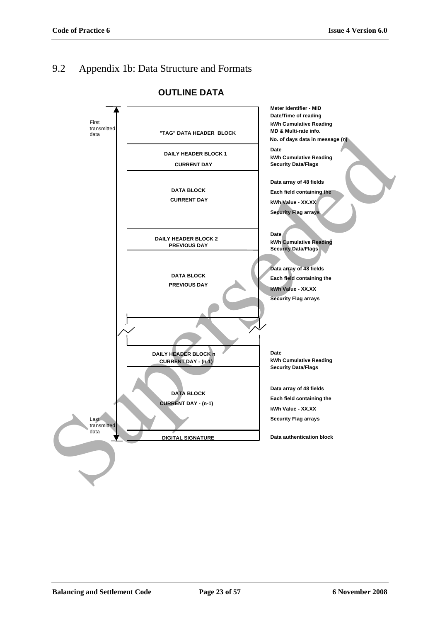# 9.2 Appendix 1b: Data Structure and Formats



### **OUTLINE DATA**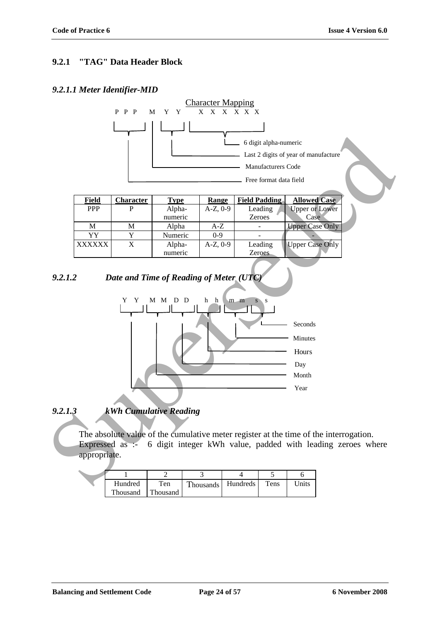### **9.2.1 "TAG" Data Header Block**

### *9.2.1.1 Meter Identifier-MID*



### *9.2.1.3 kWh Cumulative Reading*

The absolute value of the cumulative meter register at the time of the interrogation. Expressed as :- 6 digit integer kWh value, padded with leading zeroes where appropriate.

| Hundred  | Ten      | Thousands | Hundreds | Tens | Jnits |
|----------|----------|-----------|----------|------|-------|
| Thousand | Thousand |           |          |      |       |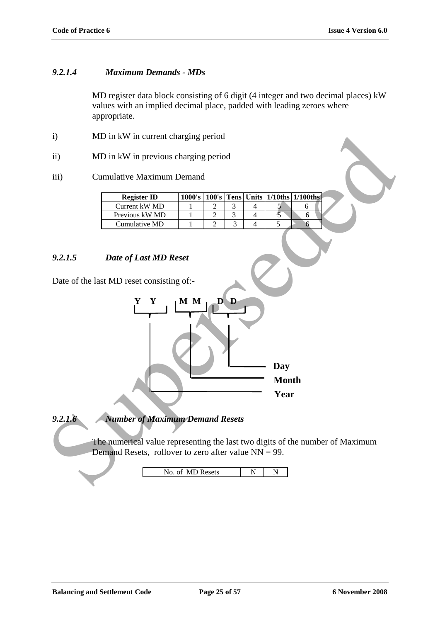### *9.2.1.4 Maximum Demands - MDs*

MD register data block consisting of 6 digit (4 integer and two decimal places) kW values with an implied decimal place, padded with leading zeroes where appropriate.

- i) MD in kW in current charging period
- ii) MD in kW in previous charging period
- iii) Cumulative Maximum Demand

| <b>Register ID</b> |  |  | 1000's   100's   Tens   Units   1/10ths   1/100ths |  |
|--------------------|--|--|----------------------------------------------------|--|
| Current kW MD      |  |  |                                                    |  |
| Previous kW MD     |  |  |                                                    |  |
| Cumulative MD      |  |  |                                                    |  |

### *9.2.1.5 Date of Last MD Reset*

Date of the last MD reset consisting of:-



*9.2.1.6 Number of Maximum Demand Resets*

The numerical value representing the last two digits of the number of Maximum Demand Resets, rollover to zero after value NN = 99.

No. of MD Resets N N N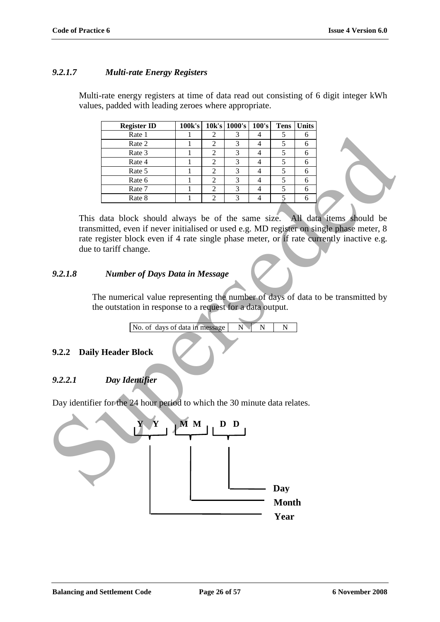### *9.2.1.7 Multi-rate Energy Registers*

Multi-rate energy registers at time of data read out consisting of 6 digit integer kWh values, padded with leading zeroes where appropriate.

| <b>Register ID</b> | 100k's | $10k's$ 1000's 100's | <b>Tens</b> | <b>Units</b> |
|--------------------|--------|----------------------|-------------|--------------|
| Rate 1             |        |                      |             |              |
| Rate 2             |        |                      |             |              |
| Rate 3             |        |                      |             |              |
| Rate 4             |        |                      |             |              |
| Rate 5             |        | 3                    |             |              |
| Rate 6             |        |                      |             |              |
| Rate 7             |        | 3                    |             |              |
| Rate 8             |        | 3                    |             |              |

This data block should always be of the same size. All data items should be transmitted, even if never initialised or used e.g. MD register on single phase meter, 8 rate register block even if 4 rate single phase meter, or if rate currently inactive e.g. due to tariff change.

### *9.2.1.8 Number of Days Data in Message*

The numerical value representing the number of days of data to be transmitted by the outstation in response to a request for a data output.

No. of days of data in message N N N N

### **9.2.2 Daily Header Block**

### *9.2.2.1 Day Identifier*

Day identifier for the 24 hour period to which the 30 minute data relates.

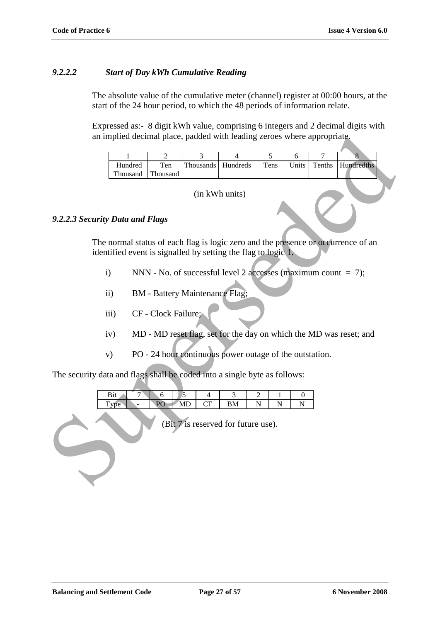### *9.2.2.2 Start of Day kWh Cumulative Reading*

The absolute value of the cumulative meter (channel) register at 00:00 hours, at the start of the 24 hour period, to which the 48 periods of information relate.

Expressed as:- 8 digit kWh value, comprising 6 integers and 2 decimal digits with an implied decimal place, padded with leading zeroes where appropriate.

| an implied decimal place, padded with leading zeroes where appropriate.                                                                            |                   |                     |                                       |                                                                  |                |       |                |                                                                    |
|----------------------------------------------------------------------------------------------------------------------------------------------------|-------------------|---------------------|---------------------------------------|------------------------------------------------------------------|----------------|-------|----------------|--------------------------------------------------------------------|
|                                                                                                                                                    | 1                 | $\overline{2}$      | $\overline{3}$                        | $\overline{4}$                                                   | $\overline{5}$ | 6     | $\overline{7}$ | $\overline{\mathbf{8}}$                                            |
|                                                                                                                                                    | Hundred           | Ten                 | Thousands                             | Hundreds                                                         | Tens           | Units | Tenths         | Hundredths                                                         |
|                                                                                                                                                    | Thousand          | Thousand            |                                       |                                                                  |                |       |                |                                                                    |
|                                                                                                                                                    |                   |                     |                                       | (in kWh units)                                                   |                |       |                |                                                                    |
| 9.2.2.3 Security Data and Flags                                                                                                                    |                   |                     |                                       |                                                                  |                |       |                |                                                                    |
| The normal status of each flag is logic zero and the presence or occurrence of an<br>identified event is signalled by setting the flag to logic 1. |                   |                     |                                       |                                                                  |                |       |                |                                                                    |
| $\mathbf{i}$                                                                                                                                       |                   |                     |                                       | NNN - No. of successful level 2 accesses (maximum count $= 7$ ); |                |       |                |                                                                    |
|                                                                                                                                                    | $\ddot{\text{1}}$ |                     | <b>BM</b> - Battery Maintenance Flag; |                                                                  |                |       |                |                                                                    |
|                                                                                                                                                    | iii)              | CF - Clock Failure; |                                       |                                                                  |                |       |                |                                                                    |
|                                                                                                                                                    | iv)               |                     |                                       |                                                                  |                |       |                | MD - MD reset flag, set for the day on which the MD was reset; and |
|                                                                                                                                                    | V)                |                     |                                       | PO - 24 hour continuous power outage of the outstation.          |                |       |                |                                                                    |
| The security data and flags shall be coded into a single byte as follows:                                                                          |                   |                     |                                       |                                                                  |                |       |                |                                                                    |
| Bit<br>5<br>$\overline{7}$<br>3<br>6<br>$\overline{4}$<br>2<br>1<br>$\theta$<br>PO<br>MD<br>CF<br>${\bf N}$<br>Type<br>BM<br>N<br>N                |                   |                     |                                       |                                                                  |                |       |                |                                                                    |
| (Bit 7 is reserved for future use).                                                                                                                |                   |                     |                                       |                                                                  |                |       |                |                                                                    |

#### *9.2.2.3 Security Data and Flags*

- i) NNN No. of successful level 2 accesses (maximum count  $= 7$ );
- ii) BM Battery Maintenance Flag;
- iii) CF Clock Failure;
- iv) MD MD reset flag, set for the day on which the MD was reset; and
- v) PO 24 hour continuous power outage of the outstation.

| ມມ |                 |        |    |  |  |
|----|-----------------|--------|----|--|--|
|    | D<br>$\tilde{}$ | 17 L D | -- |  |  |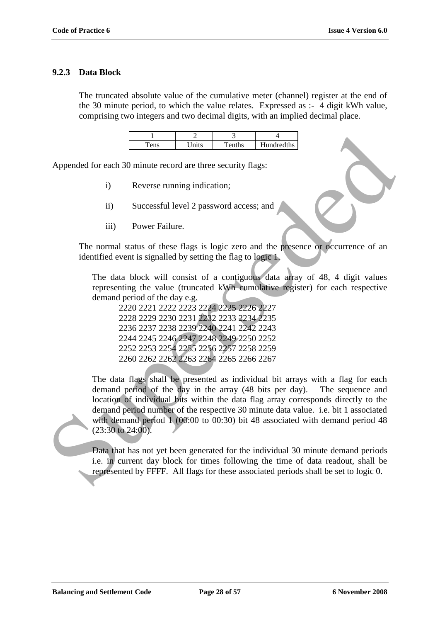### **9.2.3 Data Block**

The truncated absolute value of the cumulative meter (channel) register at the end of the 30 minute period, to which the value relates. Expressed as :- 4 digit kWh value, comprising two integers and two decimal digits, with an implied decimal place.

| ens | $\tau_{\rm nife}$ | $T$ enths | Hundredths |
|-----|-------------------|-----------|------------|

Appended for each 30 minute record are three security flags:

- i) Reverse running indication;
- ii) Successful level 2 password access; and
- iii) Power Failure.

The normal status of these flags is logic zero and the presence or occurrence of an identified event is signalled by setting the flag to logic 1.

The data block will consist of a contiguous data array of 48, 4 digit values representing the value (truncated kWh cumulative register) for each respective demand period of the day e.g.

2220 2221 2222 2223 2224 2225 2226 2227 2228 2229 2230 2231 2232 2233 2234 2235 2236 2237 2238 2239 2240 2241 2242 2243 2244 2245 2246 2247 2248 2249 2250 2252 2252 2253 2254 2255 2256 2257 2258 2259 2260 2262 2262 2263 2264 2265 2266 2267

The data flags shall be presented as individual bit arrays with a flag for each demand period of the day in the array (48 bits per day). The sequence and location of individual bits within the data flag array corresponds directly to the demand period number of the respective 30 minute data value. i.e. bit 1 associated with demand period 1 (00:00 to 00:30) bit 48 associated with demand period 48 (23:30 to 24:00). **EXECUTE:** The set of the specifical contribution of the specified contribution of the more details in the temperature of the more training indication;<br>
The data block will consist of a contiguous data alray of 48, 4 digi

Data that has not yet been generated for the individual 30 minute demand periods i.e. in current day block for times following the time of data readout, shall be represented by FFFF. All flags for these associated periods shall be set to logic 0.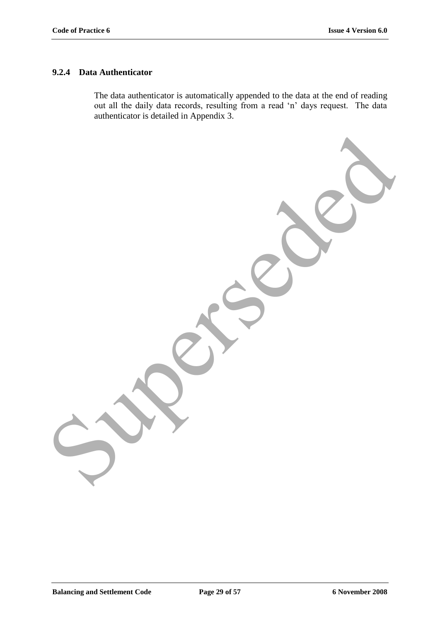### **9.2.4 Data Authenticator**

The data authenticator is automatically appended to the data at the end of reading out all the daily data records, resulting from a read "n" days request. The data authenticator is detailed in Appendix 3.

Superseded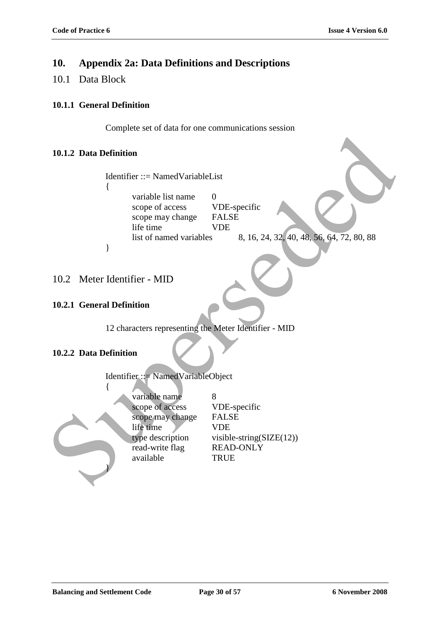### **10. Appendix 2a: Data Definitions and Descriptions**

10.1 Data Block

### **10.1.1 General Definition**

Complete set of data for one communications session

### **10.1.2 Data Definition**

| 10.1.2 Data Definition                                                                                                                                      |                                                                                                                    |
|-------------------------------------------------------------------------------------------------------------------------------------------------------------|--------------------------------------------------------------------------------------------------------------------|
| Identifier ::= NamedVariableList<br>variable list name<br>scope of access<br>scope may change<br>life time<br>list of named variables<br>}                  | $\overline{0}$<br>VDE-specific<br><b>FALSE</b><br><b>VDE</b><br>8, 16, 24, 32, 40, 48, 56, 64, 72, 80, 88          |
| 10.2 Meter Identifier - MID                                                                                                                                 |                                                                                                                    |
| 10.2.1 General Definition                                                                                                                                   |                                                                                                                    |
| 12 characters representing the Meter Identifier - MID<br>10.2.2 Data Definition                                                                             |                                                                                                                    |
| Identifier ::= NamedVariableObject<br>variable name<br>scope of access<br>scope may change<br>life time<br>type description<br>read-write flag<br>available | 8<br>VDE-specific<br><b>FALSE</b><br><b>VDE</b><br>visible-string( $SIZE(12)$ )<br><b>READ-ONLY</b><br><b>TRUE</b> |

### 10.2 Meter Identifier - MID

### **10.2.1 General Definition**

### **10.2.2 Data Definition**

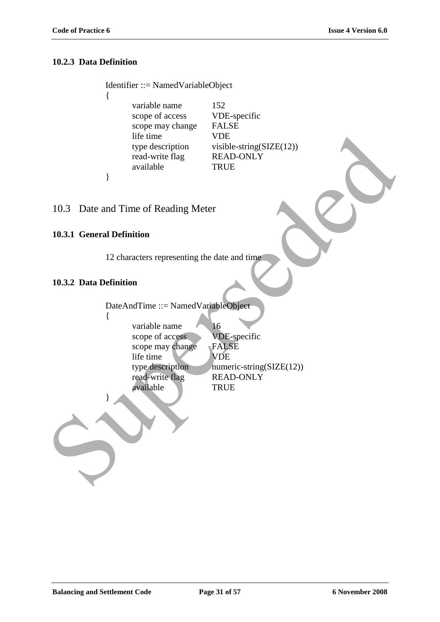### **10.2.3 Data Definition**

 $\{$ 

}

Identifier ::= NamedVariableObject variable name 152 scope of access VDE-specific scope may change FALSE life time VDE type description visible-string(SIZE(12)) read-write flag READ-ONLY available TRUE

10.3 Date and Time of Reading Meter

#### **10.3.1 General Definition**

12 characters representing the date and time

### **10.3.2 Data Definition**

DateAndTime ::= NamedVariableObject { variable name 16 scope of access VDE-specific scope may change FALSE life time VDE type description numeric-string( $SLZE(12)$ ) read-write flag READ-ONLY available TRUE } Fre time<br>
visible string(SIZE(12))<br>
read-write Ing<br>
read-write Ing<br>
READ-ONLY<br>
PRUE<br>
10.3. Date and Time of Reading Meter<br>
10.3.1 General Definition<br>
12 characters representing the date and time<br>
10.3.2 Data Definition<br>
Da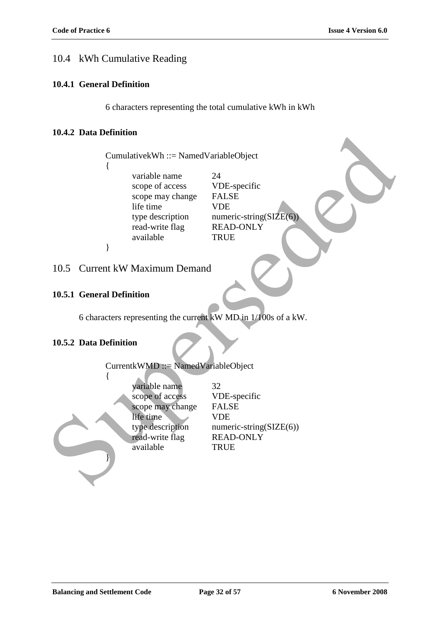### 10.4 kWh Cumulative Reading

#### **10.4.1 General Definition**

6 characters representing the total cumulative kWh in kWh

### **10.4.2 Data Definition**

#### 10.5 Current kW Maximum Demand

#### **10.5.1 General Definition**

#### **10.5.2 Data Definition**

| 10.4.4 Dala Demiindii                                                                                                 |                                                                                                                         |
|-----------------------------------------------------------------------------------------------------------------------|-------------------------------------------------------------------------------------------------------------------------|
| $Cumulative kWh ::= Name dVariableObject$                                                                             |                                                                                                                         |
| variable name<br>scope of access<br>scope may change<br>life time<br>type description<br>read-write flag              | 24<br>VDE-specific<br><b>FALSE</b><br><b>VDE</b><br>numeric-string( $SIZE(6)$ )<br><b>READ-ONLY</b>                     |
| available<br>∤                                                                                                        | <b>TRUE</b>                                                                                                             |
| 10.5 Current kW Maximum Demand                                                                                        |                                                                                                                         |
| 10.5.1 General Definition                                                                                             |                                                                                                                         |
| 6 characters representing the current kW MD in 1/100s of a kW.                                                        |                                                                                                                         |
| 10.5.2 Data Definition                                                                                                |                                                                                                                         |
| CurrentkWMD ::= NamedVariableObject                                                                                   |                                                                                                                         |
| variable name<br>scope of access<br>scope may change<br>life time<br>type description<br>read-write flag<br>available | 32<br>VDE-specific<br><b>FALSE</b><br><b>VDE</b><br>$numeric\text{-string}(SIZE(6))$<br><b>READ-ONLY</b><br><b>TRUE</b> |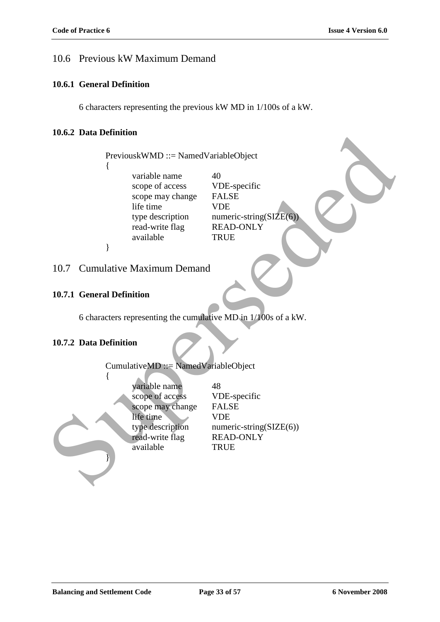### 10.6 Previous kW Maximum Demand

#### **10.6.1 General Definition**

6 characters representing the previous kW MD in 1/100s of a kW.

### **10.6.2 Data Definition**

### 10.7 Cumulative Maximum Demand

#### **10.7.1 General Definition**

### **10.7.2 Data Definition**

| 10.0.4 Data Defilition                                                                                                |                                                                                                                         |  |  |  |  |
|-----------------------------------------------------------------------------------------------------------------------|-------------------------------------------------------------------------------------------------------------------------|--|--|--|--|
| PreviouskWMD ::= NamedVariableObject                                                                                  |                                                                                                                         |  |  |  |  |
| variable name<br>scope of access<br>scope may change<br>life time<br>type description<br>read-write flag              | 40<br>VDE-specific<br><b>FALSE</b><br><b>VDE</b><br>numeric-string( $SIZE(6)$ )<br><b>READ-ONLY</b>                     |  |  |  |  |
| available<br>}                                                                                                        | <b>TRUE</b>                                                                                                             |  |  |  |  |
| 10.7 Cumulative Maximum Demand                                                                                        |                                                                                                                         |  |  |  |  |
| 10.7.1 General Definition                                                                                             |                                                                                                                         |  |  |  |  |
| 6 characters representing the cumulative MD in 1/100s of a kW.                                                        |                                                                                                                         |  |  |  |  |
| 10.7.2 Data Definition                                                                                                |                                                                                                                         |  |  |  |  |
| CumulativeMD ::= NamedVariableObject                                                                                  |                                                                                                                         |  |  |  |  |
| variable name<br>scope of access<br>scope may change<br>life time<br>type description<br>read-write flag<br>available | 48<br>VDE-specific<br><b>FALSE</b><br><b>VDE</b><br>$numeric\text{-string}(SIZE(6))$<br><b>READ-ONLY</b><br><b>TRUE</b> |  |  |  |  |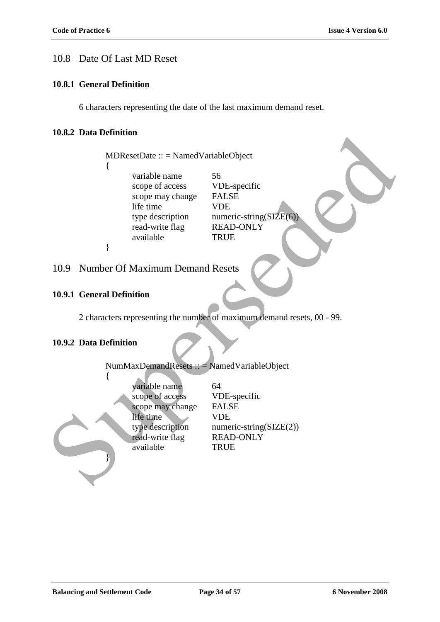### 10.8 Date Of Last MD Reset

#### **10.8.1 General Definition**

6 characters representing the date of the last maximum demand reset.

#### **10.8.2 Data Definition**

MDResetDate :: = NamedVariableObject { variable name 56 scope of access VDE-specific scope may change FALSE life time VDE type description numeric-string $(SIZE(6))$ read-write flag READ-ONLY available TRUE } NDResetDate :: = NamedVariableObject<br>
{
wristede amere<br>
scope of access<br>
scope of access<br>
scope any change<br>
scope may change<br>
FALSE<br>
the time<br>
the such trial properties<br>
the same and the TRUE<br>
10.9 Number Of Maximum Demand

### 10.9 Number Of Maximum Demand Resets

#### **10.9.1 General Definition**

2 characters representing the number of maximum demand resets, 00 - 99.

#### **10.9.2 Data Definition**

{

}

NumMaxDemandResets :: = NamedVariableObject

| variable name    | 64                          |
|------------------|-----------------------------|
| scope of access  | VDE-specific                |
| scope may change | <b>FALSE</b>                |
| life time        | <b>VDE</b>                  |
| type description | numeric-string( $SIZE(2)$ ) |
| read-write flag  | <b>READ-ONLY</b>            |
| available        | <b>TRUE</b>                 |
|                  |                             |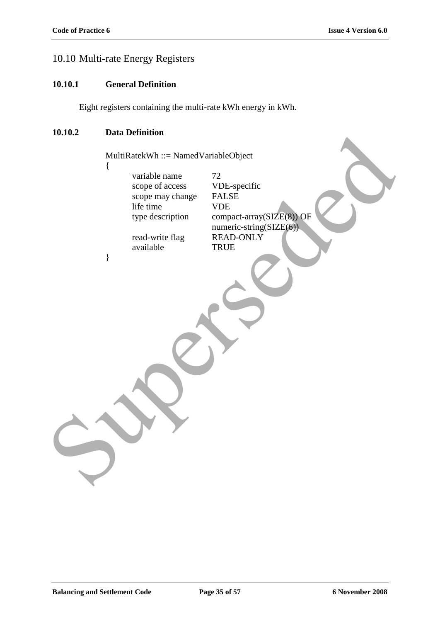### 10.10 Multi-rate Energy Registers

#### **10.10.1 General Definition**

Eight registers containing the multi-rate kWh energy in kWh.

### **10.10.2 Data Definition**

MultiRatekWh ::= NamedVariableObject

{

}

variable name  $72$ scope of access VDE-specific scope may change FALSE<br>life time VDE life time

available TRUE

type description compact-array(SIZE(8)) OF numeric-string(SIZE(6)) read-write flag READ-ONLY MultiRanekWh :::: NamedVariableObject<br>
MultiRanekWh :::: NamedVariableObject<br>
scope of access<br>
scope may change<br>
When the time<br>
We description<br>
ead-write flag<br>
PREAD-ONLY<br>
available<br>
PREAD-ONLY<br>
available<br>
PREAD-ONLY<br>
TRUE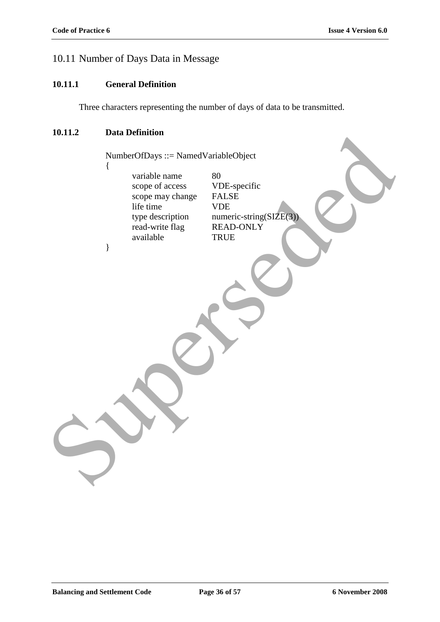### 10.11 Number of Days Data in Message

#### **10.11.1 General Definition**

Three characters representing the number of days of data to be transmitted.

### **10.11.2 Data Definition**

NumberOfDays ::= NamedVariableObject { variable name 80 scope of access VDE-specific scope may change FALSE<br>life time VDE life time type description numeric-string(SIZE(3)) read-write flag READ-ONLY available TRUE } NumberOfDays ::= Named VariableObject<br>
NumberOfDays ::= Named VariableObject<br>
scope of access<br>
scope any change<br>
with the time in VDE-specific<br>
type description<br>
read-write flag<br>
READ-ONLY<br>
TRUE<br>
TRUE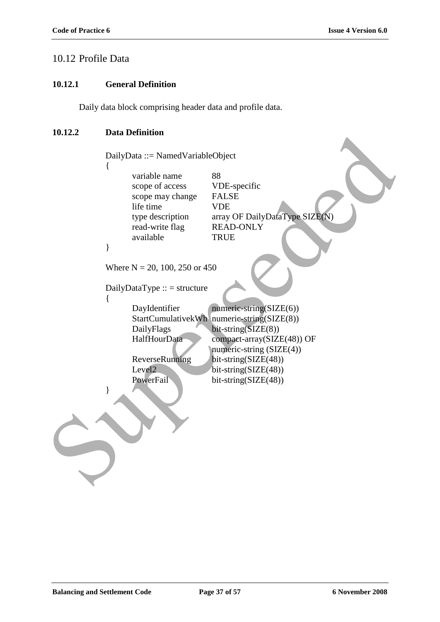### 10.12 Profile Data

#### **10.12.1 General Definition**

Daily data block comprising header data and profile data.

### **10.12.2 Data Definition**

DailyData ::= NamedVariableObject { variable name 88 scope of access VDE-specific scope may change FALSE life time VDE type description array OF DailyDataType SIZE(N) read-write flag READ-ONLY available TRUE } Where  $N = 20, 100, 250$  or 450  $DailyDataType :: = structure$ { DayIdentifier numeric-string(SIZE(6)) StartCumulativekWh numeric-string(SIZE(8)) DailyFlags bit-string(SIZE(8)) HalfHourData compact-array(SIZE(48)) OF numeric-string (SIZE(4)) ReverseRunning bit-string(SIZE(48)) Level2 bit-string(SIZE(48)) PowerFail bit-string(SIZE(48)) } For the term of the same of the same of the same of the same of the same of the same of the same of the same of the same of the same of the same of the same of the same of the same of the same of the same of the same of th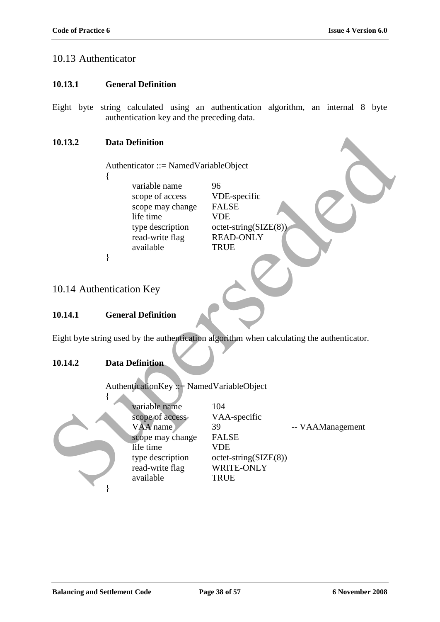### 10.13 Authenticator

#### **10.13.1 General Definition**

Eight byte string calculated using an authentication algorithm, an internal 8 byte authentication key and the preceding data.

### **10.13.2 Data Definition**

Authenticator ::= NamedVariableObject

- {
- variable name 96 scope of access VDE-specific scope may change FALSE life time VDE type description octet-string(SIZE(8)) read-write flag READ-ONLY available TRUE

10.14 Authentication Key

}

### **10.14.1 General Definition**

Eight byte string used by the authentication algorithm when calculating the authenticator.

### **10.14.2 Data Definition**

AuthenticationKey ::= NamedVariableObject

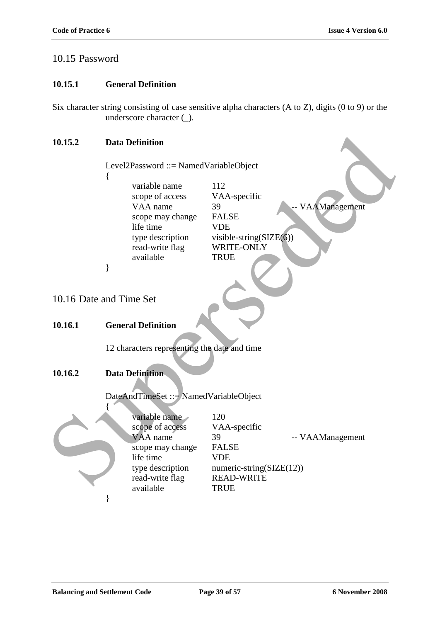### 10.15 Password

#### **10.15.1 General Definition**

Six character string consisting of case sensitive alpha characters (A to Z), digits (0 to 9) or the underscore character ( $\cdot$ ).

#### **10.15.2 Data Definition**

Level2Password ::= NamedVariableObject { variable name 112 scope of access VAA-specific VAA name 39 -- VAAManagement scope may change FALSE life time VDE type description visible-string(SIZE(6)) read-write flag WRITE-ONLY available TRUE } 10.16 Date and Time Set **10.16.1 General Definition** 12 characters representing the date and time **10.16.2 Data Definition** DateAndTimeSet ::= NamedVariableObject { variable name 120 scope of access VAA-specific VAA name 39 -- VAAManagement scope may change FALSE life time VDE type description numeric-string $(SIZE(12))$ read-write flag READ-WRITE available TRUE 10.15.2 Data Definition<br>
Level2Password ::= Named Variable Object<br>
(variable name<br>
scope of access<br>
VAA-specific<br>
scope of access<br>
Superset of DRLSE<br>
life time<br>
the divide and Time Set<br>
10.16.1 General Definition<br>
12 chara }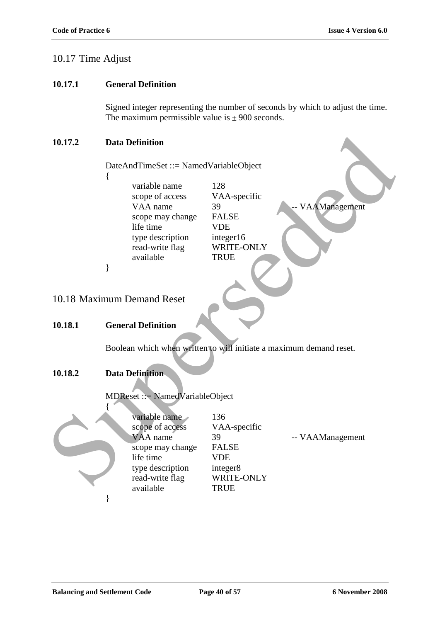### 10.17 Time Adjust

### **10.17.1 General Definition**

Signed integer representing the number of seconds by which to adjust the time. The maximum permissible value is  $\pm$  900 seconds.

#### **10.17.2 Data Definition**

- {
- variable name 128 scope of access VAA-specific VAA name 39 -- VAAManagement scope may change FALSE life time VDE type description integer16 read-write flag WRITE-ONLY available TRUE

### 10.18 Maximum Demand Reset

#### **10.18.1 General Definition**

#### **10.18.2 Data Definition**

| 10.17.2                                                             | <b>Data Definition</b>                                                                                                            |                                                                                                         |                  |  |  |
|---------------------------------------------------------------------|-----------------------------------------------------------------------------------------------------------------------------------|---------------------------------------------------------------------------------------------------------|------------------|--|--|
|                                                                     | DateAndTimeSet ::= NamedVariableObject                                                                                            |                                                                                                         |                  |  |  |
|                                                                     | variable name<br>scope of access<br>VAA name<br>scope may change<br>life time<br>type description                                 | 128<br>VAA-specific<br>39<br><b>FALSE</b><br><b>VDE</b><br>integer16                                    | VAAManagement    |  |  |
|                                                                     | read-write flag<br>available                                                                                                      | WRITE-ONLY<br><b>TRUE</b>                                                                               |                  |  |  |
|                                                                     | ∤                                                                                                                                 |                                                                                                         |                  |  |  |
|                                                                     | 10.18 Maximum Demand Reset                                                                                                        |                                                                                                         |                  |  |  |
| 10.18.1                                                             | <b>General Definition</b>                                                                                                         |                                                                                                         |                  |  |  |
| Boolean which when written to will initiate a maximum demand reset. |                                                                                                                                   |                                                                                                         |                  |  |  |
| 10.18.2                                                             | <b>Data Definition</b>                                                                                                            |                                                                                                         |                  |  |  |
|                                                                     | MDReset ::= NamedVariableObject                                                                                                   |                                                                                                         |                  |  |  |
|                                                                     | variable name<br>scope of access<br>VAA name<br>scope may change<br>life time<br>type description<br>read-write flag<br>available | 136<br>VAA-specific<br>39<br><b>FALSE</b><br><b>VDE</b><br>integer8<br><b>WRITE-ONLY</b><br><b>TRUE</b> | -- VAAManagement |  |  |
|                                                                     |                                                                                                                                   |                                                                                                         |                  |  |  |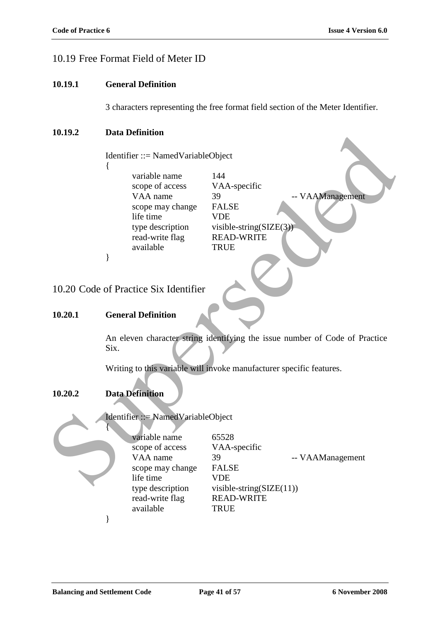# 10.19 Free Format Field of Meter ID

#### **10.19.1 General Definition**

3 characters representing the free format field section of the Meter Identifier.

### **10.19.2 Data Definition**

### **10.20.1 General Definition**

### **10.20.2 Data Definition**



| 1V.19.4 | рата репшион                                                                |                             |  |  |  |
|---------|-----------------------------------------------------------------------------|-----------------------------|--|--|--|
|         |                                                                             |                             |  |  |  |
|         | $Identifier ::= NamedVariableObject$                                        |                             |  |  |  |
|         |                                                                             |                             |  |  |  |
|         | variable name                                                               | 144                         |  |  |  |
|         | scope of access                                                             | VAA-specific                |  |  |  |
|         | VAA name                                                                    | -- VAAManagement<br>39      |  |  |  |
|         | scope may change                                                            | <b>FALSE</b>                |  |  |  |
|         | life time                                                                   | <b>VDE</b>                  |  |  |  |
|         | type description                                                            | visible-string( $SIZE(3)$ ) |  |  |  |
|         | read-write flag                                                             | <b>READ-WRITE</b>           |  |  |  |
|         | available                                                                   | <b>TRUE</b>                 |  |  |  |
|         | }                                                                           |                             |  |  |  |
|         |                                                                             |                             |  |  |  |
|         |                                                                             |                             |  |  |  |
|         | 10.20 Code of Practice Six Identifier                                       |                             |  |  |  |
|         |                                                                             |                             |  |  |  |
| 10.20.1 | <b>General Definition</b>                                                   |                             |  |  |  |
|         |                                                                             |                             |  |  |  |
|         | An eleven character string identifying the issue number of Code of Practice |                             |  |  |  |
|         | Six.                                                                        |                             |  |  |  |
|         |                                                                             |                             |  |  |  |
|         | Writing to this variable will invoke manufacturer specific features.        |                             |  |  |  |
|         |                                                                             |                             |  |  |  |
|         |                                                                             |                             |  |  |  |
| 10.20.2 | <b>Data Definition</b>                                                      |                             |  |  |  |
|         |                                                                             |                             |  |  |  |
|         | Identifier ::= NamedVariableObject                                          |                             |  |  |  |
|         |                                                                             |                             |  |  |  |
|         | variable name                                                               | 65528                       |  |  |  |
|         | scope of access                                                             | VAA-specific                |  |  |  |
|         | VAA name                                                                    | 39<br>-- VAAManagement      |  |  |  |
|         | scope may change                                                            | <b>FALSE</b>                |  |  |  |
|         | life time                                                                   | <b>VDE</b>                  |  |  |  |
|         | type description                                                            | visible-string( $SIZE(11))$ |  |  |  |
|         |                                                                             |                             |  |  |  |
|         | read-write flag                                                             | <b>READ-WRITE</b>           |  |  |  |
|         | available                                                                   | <b>TRUE</b>                 |  |  |  |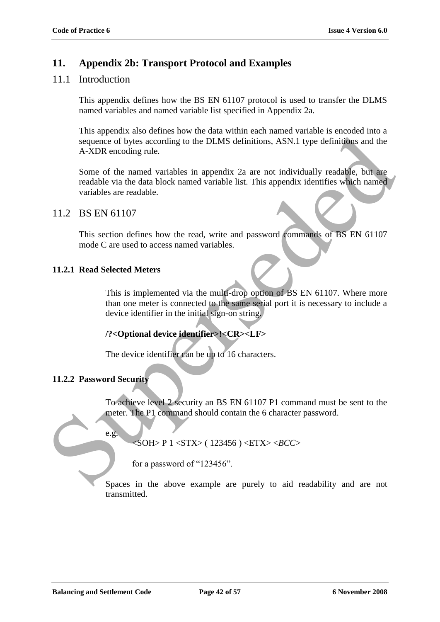### **11. Appendix 2b: Transport Protocol and Examples**

### 11.1 Introduction

This appendix defines how the BS EN 61107 protocol is used to transfer the DLMS named variables and named variable list specified in Appendix 2a.

This appendix also defines how the data within each named variable is encoded into a sequence of bytes according to the DLMS definitions, ASN.1 type definitions and the A-XDR encoding rule.

Some of the named variables in appendix 2a are not individually readable, but are readable via the data block named variable list. This appendix identifies which named variables are readable. Superior discovering to the DLMS definitions, ASN.) Type definitions and the<br>sequence of bytes according to the DLMS definitions, ASN.) Type definitions and the<br>A-XDR encoding rule.<br>Some of the named variables in appendix

### 11.2 BS EN 61107

This section defines how the read, write and password commands of BS EN 61107 mode C are used to access named variables.

#### **11.2.1 Read Selected Meters**

This is implemented via the multi-drop option of BS EN 61107. Where more than one meter is connected to the same serial port it is necessary to include a device identifier in the initial sign-on string.

### **/?<Optional device identifier>!<CR><LF>**

The device identifier can be up to 16 characters.

### **11.2.2 Password Security**

e.g.

To achieve level 2 security an BS EN 61107 P1 command must be sent to the meter. The P1 command should contain the 6 character password.

<SOH> P 1 <STX> ( 123456 ) <ETX> <*BCC*>

for a password of "123456".

Spaces in the above example are purely to aid readability and are not transmitted.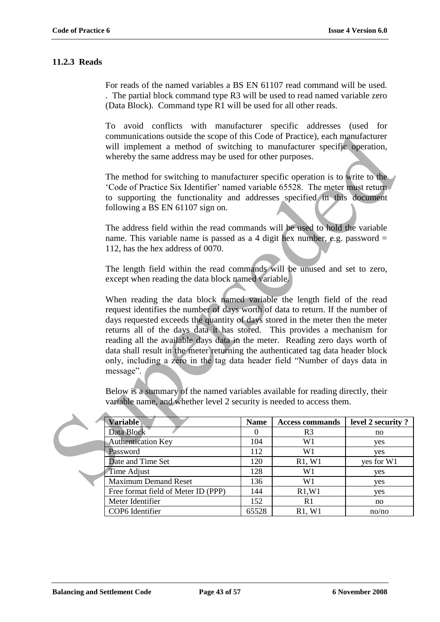### **11.2.3 Reads**

For reads of the named variables a BS EN 61107 read command will be used. . The partial block command type R3 will be used to read named variable zero (Data Block). Command type R1 will be used for all other reads.

To avoid conflicts with manufacturer specific addresses (used for communications outside the scope of this Code of Practice), each manufacturer will implement a method of switching to manufacturer specific operation, whereby the same address may be used for other purposes.

The method for switching to manufacturer specific operation is to write to the "Code of Practice Six Identifier" named variable 65528. The meter must return to supporting the functionality and addresses specified in this document following a BS EN 61107 sign on.

The address field within the read commands will be used to hold the variable name. This variable name is passed as a 4 digit hex number, e.g. password  $=$ 112, has the hex address of 0070.

The length field within the read commands will be unused and set to zero, except when reading the data block named variable.

When reading the data block named variable the length field of the read request identifies the number of days worth of data to return. If the number of days requested exceeds the quantity of days stored in the meter then the meter returns all of the days data it has stored. This provides a mechanism for reading all the available days data in the meter. Reading zero days worth of data shall result in the meter returning the authenticated tag data header block only, including a zero in the tag data header field "Number of days data in message". communications outside the scope of this Code of Practice), each manufacturer<br>will implement a method of switching to manufacturer specifie operation,<br>whereby the same address may be used for other purposes.<br>The method fo

Below is a summary of the named variables available for reading directly, their variable name, and whether level 2 security is needed to access them.

| <b>Variable</b>                     | <b>Name</b> | <b>Access commands</b> | level 2 security? |
|-------------------------------------|-------------|------------------------|-------------------|
| Data Block                          |             | R3                     | no                |
| <b>Authentication Key</b>           | 104         | W1                     | yes               |
| Password                            | 112         | W1                     | yes               |
| Date and Time Set                   | 120         | R1, W1                 | yes for W1        |
| Time Adjust                         | 128         | W1                     | yes               |
| <b>Maximum Demand Reset</b>         | 136         | W1                     | yes               |
| Free format field of Meter ID (PPP) | 144         | R1, W1                 | yes               |
| Meter Identifier                    | 152         | R <sub>1</sub>         | no                |
| COP6 Identifier                     | 65528       | R1, W1                 | no/no             |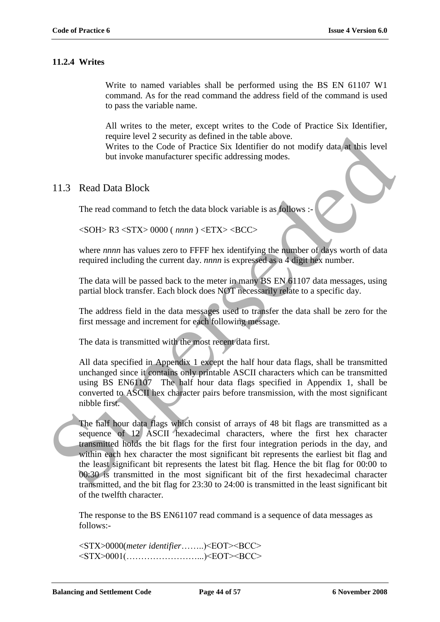### **11.2.4 Writes**

Write to named variables shall be performed using the BS EN 61107 W1 command. As for the read command the address field of the command is used to pass the variable name.

All writes to the meter, except writes to the Code of Practice Six Identifier, require level 2 security as defined in the table above.

Writes to the Code of Practice Six Identifier do not modify data at this level but invoke manufacturer specific addressing modes.

### 11.3 Read Data Block

The read command to fetch the data block variable is as follows :-

<SOH> R3 <STX> 0000 ( *nnnn* ) <ETX> <BCC>

where *nnnn* has values zero to FFFF hex identifying the number of days worth of data required including the current day. *nnnn* is expressed as a 4 digit hex number.

The data will be passed back to the meter in many BS EN 61107 data messages, using partial block transfer. Each block does NOT necessarily relate to a specific day.

The address field in the data messages used to transfer the data shall be zero for the first message and increment for each following message.

The data is transmitted with the most recent data first.

All data specified in Appendix 1 except the half hour data flags, shall be transmitted unchanged since it contains only printable ASCII characters which can be transmitted using BS EN61107 The half hour data flags specified in Appendix 1, shall be converted to ASCII hex character pairs before transmission, with the most significant nibble first.

The half hour data flags which consist of arrays of 48 bit flags are transmitted as a sequence of 12 ASCII hexadecimal characters, where the first hex character transmitted holds the bit flags for the first four integration periods in the day, and within each hex character the most significant bit represents the earliest bit flag and the least significant bit represents the latest bit flag. Hence the bit flag for 00:00 to 00:30 is transmitted in the most significant bit of the first hexadecimal character transmitted, and the bit flag for 23:30 to 24:00 is transmitted in the least significant bit of the twelfth character. require level 2 security as defined in the table above.<br>
Writes to the Code of Practice Six Identifier do not modify dutu at this level<br>
but invoke manufacturer specific addressing modes.<br>
11.3 Read Data Block<br>
The read c

The response to the BS EN61107 read command is a sequence of data messages as follows:-

<STX>0000(*meter identifier*……..)<EOT><BCC> <STX>0001(……………………...)<EOT><BCC>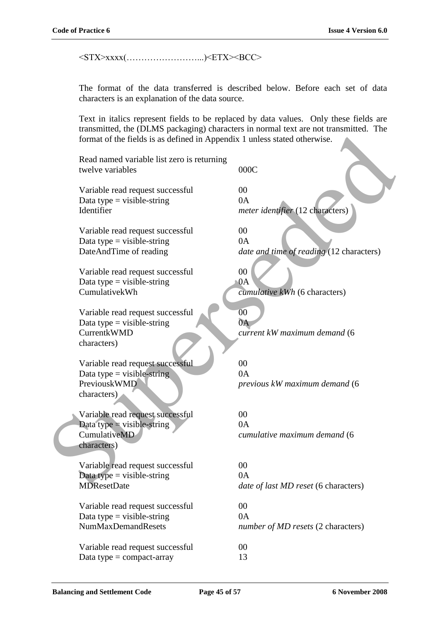<STX>xxxx(……………………...)<ETX><BCC>

The format of the data transferred is described below. Before each set of data characters is an explanation of the data source.

Text in italics represent fields to be replaced by data values. Only these fields are transmitted, the (DLMS packaging) characters in normal text are not transmitted. The format of the fields is as defined in Appendix 1 unless stated otherwise.

Read named variable list zero is returning twelve variables 000C

Variable read request successful 00 Data type = visible-string  $0A$ Identifier *meter identifier* (12 characters)

Variable read request successful 00 Data type = visible-string  $0A$ 

Variable read request successful 00 Data type = visible-string  $0A$ CumulativekWh *cumulative kWh* (6 characters)

Variable read request successful  $\sim$  00 Data type = visible-string  $0A$ characters)

Variable read request successful 00 Data type = visible-string  $0A$ characters)

Variable read request successful 00 Data type = visible-string  $0A$ characters) Format of the fields is as defined in Appendix 1 unless stated otherwise.<br>
Read named variable list zero is returning<br>
variable read request successful<br>
Data type – visible-string<br>
Metalitier<br>
Variable read request success

Variable read request successful 00 Data type  $=$  visible-string  $0A$ 

Variable read request successful 00 Data type  $=$  visible-string  $0A$ 

Variable read request successful 00 Data type  $=$  compact-array 13

DateAndTime of reading *date and time of reading* (12 characters)

CurrentkWMD *current kW maximum demand* (6

PreviouskWMD *previous kW maximum demand* (6

CumulativeMD *cumulative maximum demand* (6

MDResetDate *date of last MD reset* (6 characters)

NumMaxDemandResets *number of MD resets* (2 characters)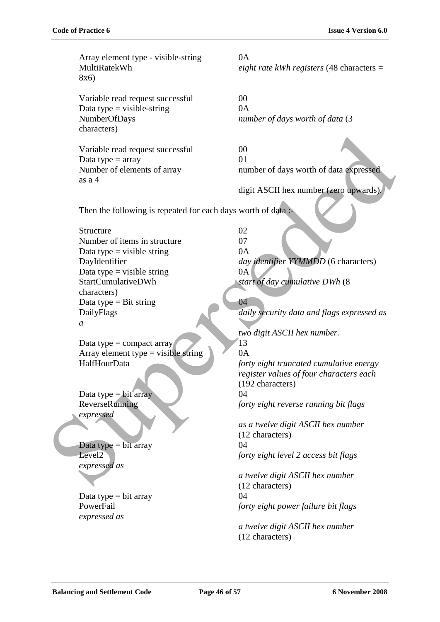Array element type - visible-string 0A MultiRatekWh *eight rate kWh registers* (48 characters = 8x6) Variable read request successful 00 Data type = visible-string  $0A$ NumberOfDays *number of days worth of data* (3 characters) Variable read request successful 00 Data type  $=$  array 01 Number of elements of array number of days worth of data expressed as a 4 digit ASCII hex number (zero upwards)*.* Then the following is repeated for each days worth of data :-Structure 02 Number of items in structure 07 Data type = visible string  $0A$ DayIdentifier *day identifier YYMMDD* (6 characters) Data type = visible string  $0A$ StartCumulativeDWh *start of day cumulative DWh* (8 characters) Data type = Bit string  $\qquad \qquad$  04 DailyFlags *daily security data and flags expressed as a two digit ASCII hex number.* Data type = compact array  $13$ Array element type = visible string  $\bigcirc$  0A HalfHourData *forty eight truncated cumulative energy register values of four characters each* (192 characters) Data type  $=$  bit array 04 ReverseRunning *forty eight reverse running bit flags expressed as a twelve digit ASCII hex number* (12 characters)  $Data type = bit array$  04 Level2 *forty eight level 2 access bit flags expressed as a twelve digit ASCII hex number* (12 characters) Data type  $=$  bit array 04 PowerFail *forty eight power failure bit flags expressed as a twelve digit ASCII hex number* (12 characters) Variable read request successful<br>
Data type – array<br>
as a 4<br>
Then the following is repeated for each days worth of data of pressed<br>
as a 4<br>
Then the following is repeated for each days worth of data<br>
Structure (see a upwa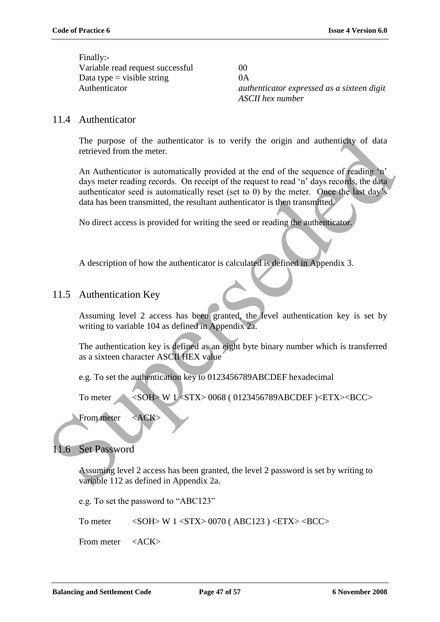Finally:- Variable read request successful 00 Data type = visible string  $0A$ 

Authenticator *authenticator expressed as a sixteen digit ASCII hex number*

### 11.4 Authenticator

The purpose of the authenticator is to verify the origin and authenticity of data retrieved from the meter.

An Authenticator is automatically provided at the end of the sequence of reading 'n' days meter reading records. On receipt of the request to read 'n' days records, the data authenticator seed is automatically reset (set to 0) by the meter. Once the last day"s data has been transmitted, the resultant authenticator is then transmitted. The purpose of the authenticator is to verify the origin and authenticity of data<br>retrieved from the meter.<br>An Authenticitor is automatically provided at the end of the sequence of reading in<br>dust method and such reading

No direct access is provided for writing the seed or reading the authenticator.

A description of how the authenticator is calculated is defined in Appendix 3.

### 11.5 Authentication Key

Assuming level 2 access has been granted, the level authentication key is set by writing to variable 104 as defined in Appendix 2a.

The authentication key is defined as an eight byte binary number which is transferred as a sixteen character ASCII HEX value

e.g. To set the authentication key to 0123456789ABCDEF hexadecimal

To meter <SOH> W 1 <STX> 0068 ( 0123456789ABCDEF )<ETX><BCC>

From meter <ACK>

### 11.6 Set Password

Assuming level 2 access has been granted, the level 2 password is set by writing to variable 112 as defined in Appendix 2a.

e.g. To set the password to "ABC123"

To meter  $\langle \text{SOH} \rangle$  W 1  $\langle \text{STX} \rangle$  0070 (ABC123 )  $\langle \text{ETX} \rangle$  <BCC>

From meter <ACK>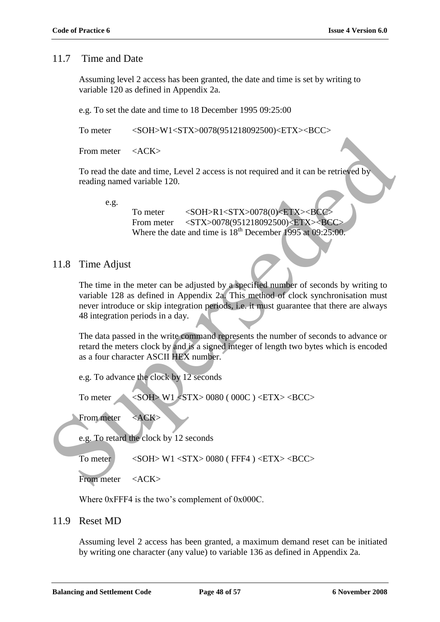### 11.7 Time and Date

Assuming level 2 access has been granted, the date and time is set by writing to variable 120 as defined in Appendix 2a.

e.g. To set the date and time to 18 December 1995 09:25:00

To meter <SOH>W1<STX>0078(951218092500)<ETX><BCC>

From meter <ACK>

To read the date and time, Level 2 access is not required and it can be retrieved by reading named variable 120.

e.g.

To meter <SOH>R1<STX>0078(0)<ETX><BCC From meter <STX>0078(951218092500)<ETX><BCC Where the date and time is  $18^{th}$  December 1995 at 09:25:00.

### 11.8 Time Adjust

The time in the meter can be adjusted by a specified number of seconds by writing to variable 128 as defined in Appendix 2a. This method of clock synchronisation must never introduce or skip integration periods, i.e. it must guarantee that there are always 48 integration periods in a day. From meter <br>
For mediate and time, Level 2 access is not required and it can be retrieved by<br>
reading named variable 120.<br>
e.g.<br>
To meter <br>
SOH-NL-STX-007860)-ETX--BCC-<br>
From meter <br>
From meter <br>
STX-0078951218092500)-ETX

The data passed in the write command represents the number of seconds to advance or retard the meters clock by and is a signed integer of length two bytes which is encoded as a four character ASCII HEX number.

e.g. To advance the clock by 12 seconds

To meter <SOH> W1 <STX> 0080 (000C) <ETX><BCC>

From meter <ACK>

e.g. To retard the clock by 12 seconds

To meter  $\leq$  SOH> W1  $\leq$ STX> 0080 (FFF4 )  $\leq$ ETX>  $\leq$ BCC>

From meter <ACK>

Where 0xFFF4 is the two's complement of 0x000C.

#### 11.9 Reset MD

Assuming level 2 access has been granted, a maximum demand reset can be initiated by writing one character (any value) to variable 136 as defined in Appendix 2a.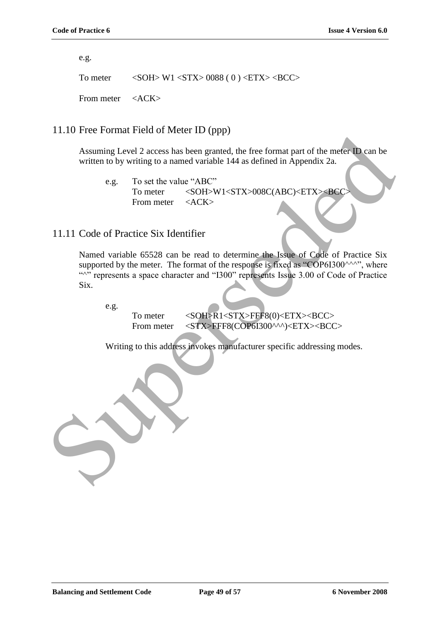e.g.

To meter  $\langle \text{SOH} \rangle \text{ W1} \langle \text{STX} \rangle 0088 (0) \langle \text{ETX} \rangle \langle \text{BCC} \rangle$ 

From meter <ACK>

### 11.10 Free Format Field of Meter ID (ppp)

Assuming Level 2 access has been granted, the free format part of the meter ID can be written to by writing to a named variable 144 as defined in Appendix 2a.

e.g. To set the value "ABC" To meter <SOH>W1<STX>008C(ABC)<ETX><BCC From meter <ACK>

### 11.11 Code of Practice Six Identifier

Named variable 65528 can be read to determine the Issue of Code of Practice Six supported by the meter. The format of the response is fixed as "COP6I300^^^", where "<sup>""</sup> represents a space character and "I300" represents Issue 3.00 of Code of Practice Six. Assuming Level 2 access has been granted. the free format part of the meter U can be written to by writing to a named variable 144 as defined in Appendix 2a.<br>
e.g. To set the value "ABC"<br>
From meter <ACK:<br>
From meter <ACK:

e.g.

To meter <SOH>R1<STX>FFF8(0)<ETX><BCC> From meter <STX>FFF8(COP6I300^^^)<ETX><BCC>

Writing to this address invokes manufacturer specific addressing modes.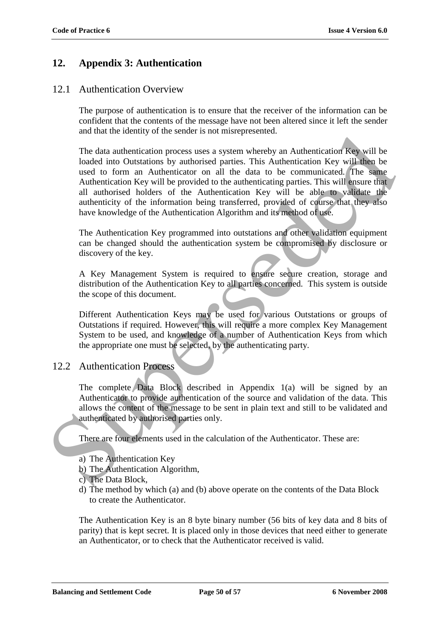### **12. Appendix 3: Authentication**

### 12.1 Authentication Overview

The purpose of authentication is to ensure that the receiver of the information can be confident that the contents of the message have not been altered since it left the sender and that the identity of the sender is not misrepresented.

The data authentication process uses a system whereby an Authentication Key will be loaded into Outstations by authorised parties. This Authentication Key will then be used to form an Authenticator on all the data to be communicated. The same Authentication Key will be provided to the authenticating parties. This will ensure that all authorised holders of the Authentication Key will be able to validate the authenticity of the information being transferred, provided of course that they also have knowledge of the Authentication Algorithm and its method of use. and mathematical contrastions and statemy when the data and the data and the data multiplication Registers. This Authentication Key will then be used to form an Authentication for an in the data to be communicated. The sam

The Authentication Key programmed into outstations and other validation equipment can be changed should the authentication system be compromised by disclosure or discovery of the key.

A Key Management System is required to ensure secure creation, storage and distribution of the Authentication Key to all parties concerned. This system is outside the scope of this document.

Different Authentication Keys may be used for various Outstations or groups of Outstations if required. However, this will require a more complex Key Management System to be used, and knowledge of a number of Authentication Keys from which the appropriate one must be selected, by the authenticating party.

### 12.2 Authentication Process

The complete Data Block described in Appendix 1(a) will be signed by an Authenticator to provide authentication of the source and validation of the data. This allows the content of the message to be sent in plain text and still to be validated and authenticated by authorised parties only.

There are four elements used in the calculation of the Authenticator. These are:

- a) The Authentication Key
- b) The Authentication Algorithm,
- c) The Data Block,
- d) The method by which (a) and (b) above operate on the contents of the Data Block to create the Authenticator.

The Authentication Key is an 8 byte binary number (56 bits of key data and 8 bits of parity) that is kept secret. It is placed only in those devices that need either to generate an Authenticator, or to check that the Authenticator received is valid.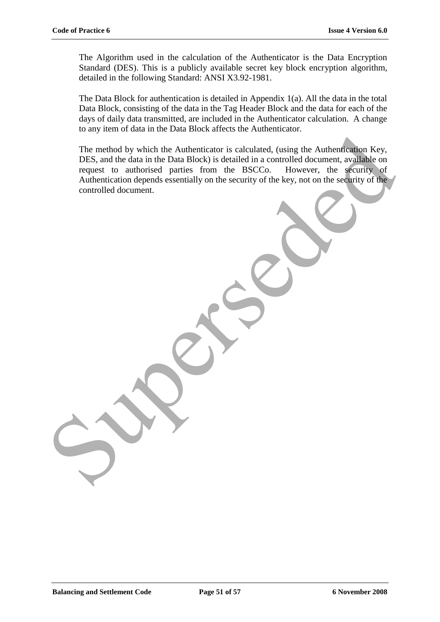The Algorithm used in the calculation of the Authenticator is the Data Encryption Standard (DES). This is a publicly available secret key block encryption algorithm, detailed in the following Standard: ANSI X3.92-1981.

The Data Block for authentication is detailed in Appendix 1(a). All the data in the total Data Block, consisting of the data in the Tag Header Block and the data for each of the days of daily data transmitted, are included in the Authenticator calculation. A change to any item of data in the Data Block affects the Authenticator.

The method by which the Authenticator is calculated, (using the Authentication Key, DES, and the data in the Data Block) is detailed in a controlled document, available on request to authorised parties from the BSCCo. However, the security of Authentication depends essentially on the security of the key, not on the security of the  $\blacktriangle$ controlled document. The method by which the Authenticator is calculated, (using the Authentication Key, DES, and the data in the Data Block) is detailed in a controlled document, available on request to authentication depends essentially on t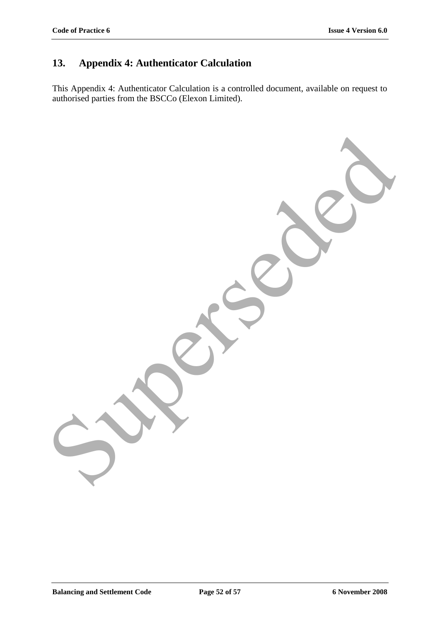# **13. Appendix 4: Authenticator Calculation**

This Appendix 4: Authenticator Calculation is a controlled document, available on request to authorised parties from the BSCCo (Elexon Limited).

Superseded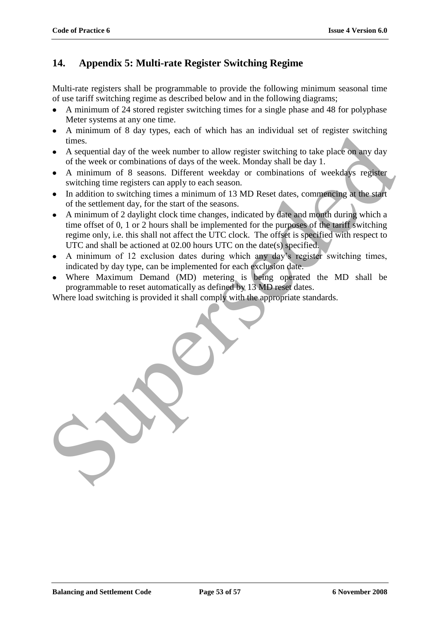### **14. Appendix 5: Multi-rate Register Switching Regime**

Multi-rate registers shall be programmable to provide the following minimum seasonal time of use tariff switching regime as described below and in the following diagrams;

- A minimum of 24 stored register switching times for a single phase and 48 for polyphase Meter systems at any one time.
- A minimum of 8 day types, each of which has an individual set of register switching times.
- A sequential day of the week number to allow register switching to take place on any day of the week or combinations of days of the week. Monday shall be day 1.
- A minimum of 8 seasons. Different weekday or combinations of weekdays register switching time registers can apply to each season.
- In addition to switching times a minimum of 13 MD Reset dates, commencing at the start of the settlement day, for the start of the seasons.
- A minimum of 2 daylight clock time changes, indicated by date and month during which a time offset of 0, 1 or 2 hours shall be implemented for the purposes of the tariff switching regime only, i.e. this shall not affect the UTC clock. The offset is specified with respect to UTC and shall be actioned at 02.00 hours UTC on the date(s) specified. Frame that the set also states that the set also the set also states that the set also of the week or combinations of days of the week. Monday stall be day 1.<br>
A ninimum of 8 seasons. Different weekly or combinations of w
	- A minimum of 12 exclusion dates during which any day"s register switching times, indicated by day type, can be implemented for each exclusion date.
	- Where Maximum Demand (MD) metering is being operated the MD shall be programmable to reset automatically as defined by 13 MD reset dates.

Where load switching is provided it shall comply with the appropriate standards.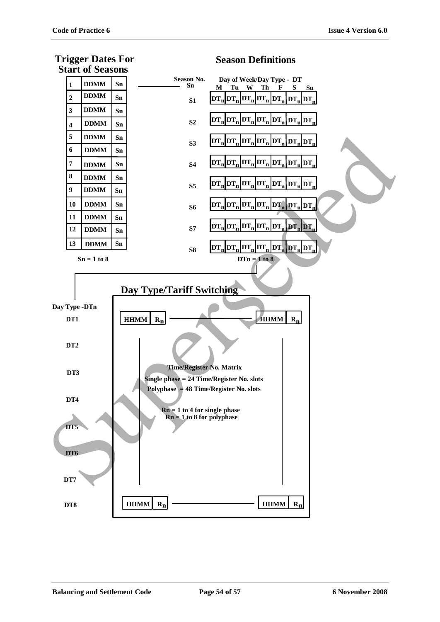**Trigger Dates For**



### **Season Definitions**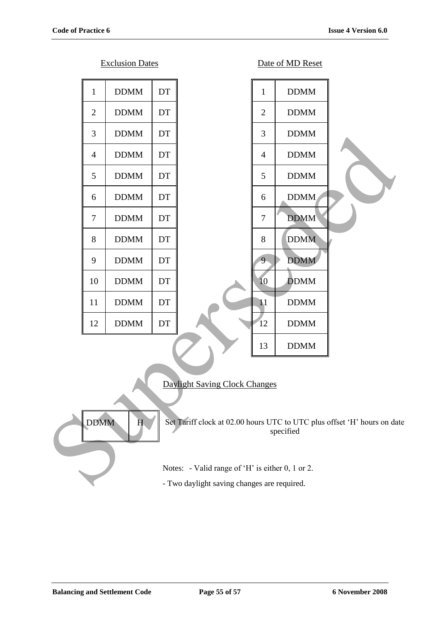|                | <b>Exclusion Dates</b> |    | Date of MD Reset                                                                                                     |  |
|----------------|------------------------|----|----------------------------------------------------------------------------------------------------------------------|--|
| $\mathbf{1}$   | <b>DDMM</b>            | DT | $\mathbf{1}$<br><b>DDMM</b>                                                                                          |  |
| $\overline{2}$ | <b>DDMM</b>            | DT | $\overline{2}$<br><b>DDMM</b>                                                                                        |  |
| 3              | <b>DDMM</b>            | DT | 3<br><b>DDMM</b>                                                                                                     |  |
| $\overline{4}$ | <b>DDMM</b>            | DT | <b>DDMM</b><br>$\overline{4}$                                                                                        |  |
| 5              | <b>DDMM</b>            | DT | 5<br><b>DDMM</b>                                                                                                     |  |
| 6              | <b>DDMM</b>            | DT | <b>DDMM</b><br>6                                                                                                     |  |
| $\tau$         | <b>DDMM</b>            | DT | $\overline{7}$<br><b>DDMM</b>                                                                                        |  |
| 8              | <b>DDMM</b>            | DT | 8<br><b>DDMM</b>                                                                                                     |  |
| 9              | <b>DDMM</b>            | DT | <b>DDMM</b><br>9                                                                                                     |  |
| 10             | <b>DDMM</b>            | DT | 10<br><b>DDMM</b>                                                                                                    |  |
| 11             | <b>DDMM</b>            | DT | 11<br><b>DDMM</b>                                                                                                    |  |
| 12             | <b>DDMM</b>            | DT | 12<br><b>DDMM</b>                                                                                                    |  |
|                |                        |    | 13<br><b>DDMM</b>                                                                                                    |  |
| <b>DDMM</b>    | H                      |    | Daylight Saving Clock Changes<br>Set Tariff clock at 02.00 hours UTC to UTC plus offset 'H' hours on da<br>specified |  |
|                |                        |    | Notes: - Valid range of 'H' is either 0, 1 or 2.                                                                     |  |
|                |                        |    | - Two daylight saving changes are required.                                                                          |  |

### Daylight Saving Clock Changes

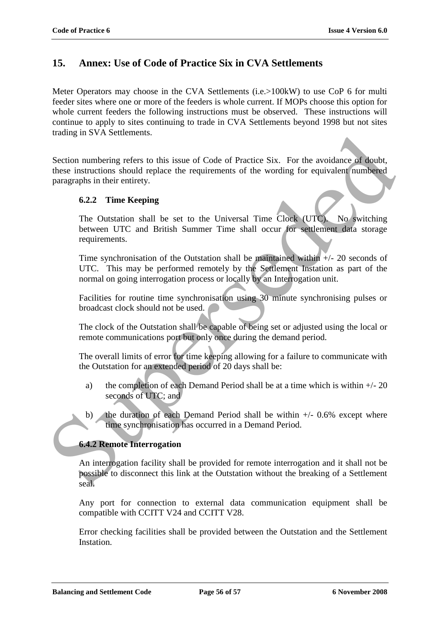### **15. Annex: Use of Code of Practice Six in CVA Settlements**

Meter Operators may choose in the CVA Settlements (i.e.>100kW) to use CoP 6 for multi feeder sites where one or more of the feeders is whole current. If MOPs choose this option for whole current feeders the following instructions must be observed. These instructions will continue to apply to sites continuing to trade in CVA Settlements beyond 1998 but not sites trading in SVA Settlements.

Section numbering refers to this issue of Code of Practice Six. For the avoidance of doubt, these instructions should replace the requirements of the wording for equivalent numbered paragraphs in their entirety. Continues in 5 v A Seinentenis.<br>
Section numbering refers to this issue of Code of Practice Six. For the avoidance of doubt,<br>
these instructions should replace the requirements of the wording for equivalent numbered<br>
para

#### **6.2.2 Time Keeping**

The Outstation shall be set to the Universal Time Clock (UTC). No switching between UTC and British Summer Time shall occur for settlement data storage requirements.

Time synchronisation of the Outstation shall be maintained within +/- 20 seconds of UTC. This may be performed remotely by the Settlement Instation as part of the normal on going interrogation process or locally by an Interrogation unit.

Facilities for routine time synchronisation using 30 minute synchronising pulses or broadcast clock should not be used.

The clock of the Outstation shall be capable of being set or adjusted using the local or remote communications port but only once during the demand period.

The overall limits of error for time keeping allowing for a failure to communicate with the Outstation for an extended period of 20 days shall be:

- a) the completion of each Demand Period shall be at a time which is within  $+/- 20$ seconds of UTC; and
- b) the duration of each Demand Period shall be within  $+/-0.6\%$  except where time synchronisation has occurred in a Demand Period.

#### **6.4.2 Remote Interrogation**

An interrogation facility shall be provided for remote interrogation and it shall not be possible to disconnect this link at the Outstation without the breaking of a Settlement seal.

Any port for connection to external data communication equipment shall be compatible with CCITT V24 and CCITT V28.

Error checking facilities shall be provided between the Outstation and the Settlement Instation.